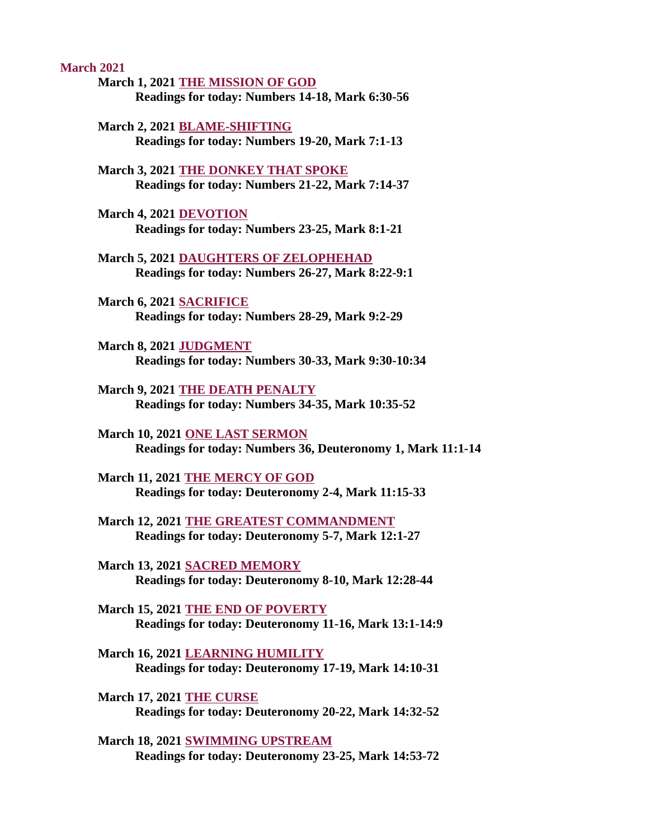March 2021

- March 1, 2021 THE MISSION OF GOD [Readings for today: Numbers 14-18, Mark 6:30-56](#page-2-0)
- March 2, 2021 BLAME-SHIFTING [Readings for today: Numbers 19-20, Mark 7:1-13](#page-4-0)
- March 3, 2021 THE DONKEY THAT SPOKE [Readings for today: Numbers 21-22, Mark 7:14-37](#page-6-0)
- March 4, 2021 DEVOTION [Readings for today: Numbers 23-25, Mark 8:1-21](#page-8-0)
- March 5, 2021 DAUGHTERS OF ZELOPHEHAD [Readings for today: Numbers 26-27, Mark 8:22-9:1](#page-10-0)
- March 6, 2021 SACRIFICE [Readings for today: Numbers 28-29, Mark 9:2-29](#page-12-0)
- March 8, 2021 JUDGMENT [Readings for today: Numbers 30-33, Mark 9:30-10:34](#page-14-0)
- March 9, 2021 THE DEATH PENALTY [Readings for today: Numbers 34-35, Mark 10:35-52](#page-16-0)
- March 10, 2021 ONE LAST SERMON [Readings for today: Numbers 36, Deuteronomy 1, Mark 11:1-14](#page-17-0)
- March 11, 2021 THE MERCY OF GOD [Readings for today: Deuteronomy 2-4, Mark 11:15-33](#page-18-0)
- [March 12, 2021 THE GREATEST COMMANDMENT](#page-20-0) Readings for today: Deuteronomy 5-7, Mark 12:1-27
- March 13, 2021 SACRED MEMORY [Readings for today: Deuteronomy 8-10, Mark 12:28-44](#page-21-0)
- March 15, 2021 THE END OF POVERTY [Readings for today: Deuteronomy 11-16, Mark 13:1-14:9](#page-23-0)
- March 16, 2021 LEARNING HUMILITY [Readings for today: Deuteronomy 17-19, Mark 14:10-31](#page-25-0)
- March 17, 2021 THE CURSE [Readings for today: Deuteronomy 20-22, Mark 14:32-52](#page-27-0)
- March 18, 2021 SWIMMING UPSTREAM [Readings for today: Deuteronomy 23-25, Mark 14:53-72](#page-29-0)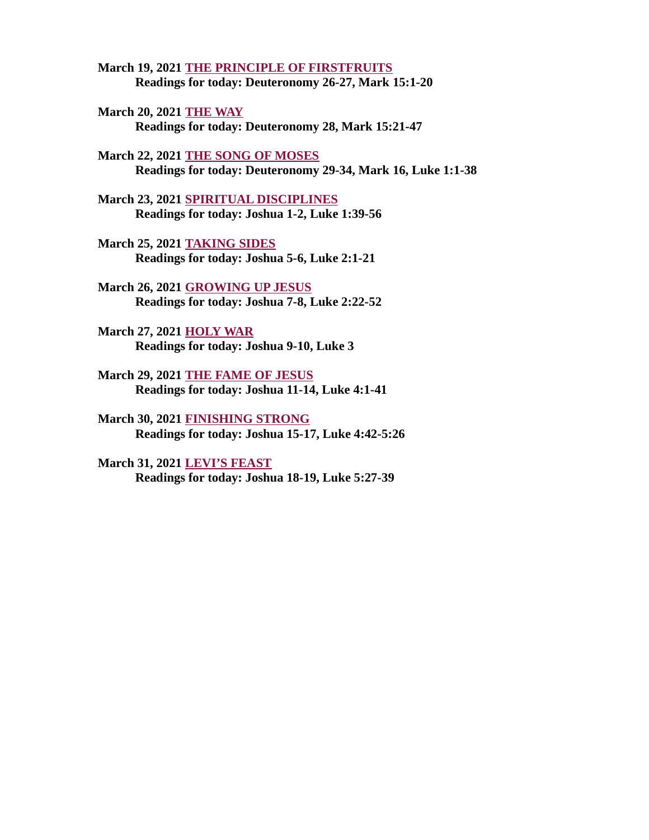March 19, 2021 THE PRINCIPLE OF FIRSTFRUITS [Readings for today: Deuteronomy 26-27, Mark 15:1-20](#page-31-0)

March 20, 2021 THE WAY [Readings for today: Deuteronomy 28, Mark 15:21-47](#page-33-0)

March 22, 2021 THE SONG OF MOSES [Readings for today: Deuteronomy 29-34, Mark 16, Luke 1:1-38](#page-34-0)

March 23, 2021 SPIRITUAL DISCIPLINES [Readings for today: Joshua 1-2, Luke 1:39-56](#page-36-0)

March 25, 2021 TAKING SIDES [Readings for today: Joshua 5-6, Luke 2:1-21](#page-38-0)

March 26, 2021 GROWING UP JESUS [Readings for today: Joshua 7-8, Luke 2:22-52](#page-39-0)

March 27, 2021 HOLY WAR [Readings for today: Joshua 9-10, Luke 3](#page-40-0)

March 29, 2021 THE FAME OF JESUS [Readings for today: Joshua 11-14, Luke 4:1-41](#page-42-0)

March 30, 2021 FINISHING STRONG [Readings for today: Joshua 15-17, Luke 4:42-5:26](#page-44-0)

March 31, 2021 LEVI'S FEAST [Readings for today: Joshua 18-19, Luke 5:27-39](#page-45-0)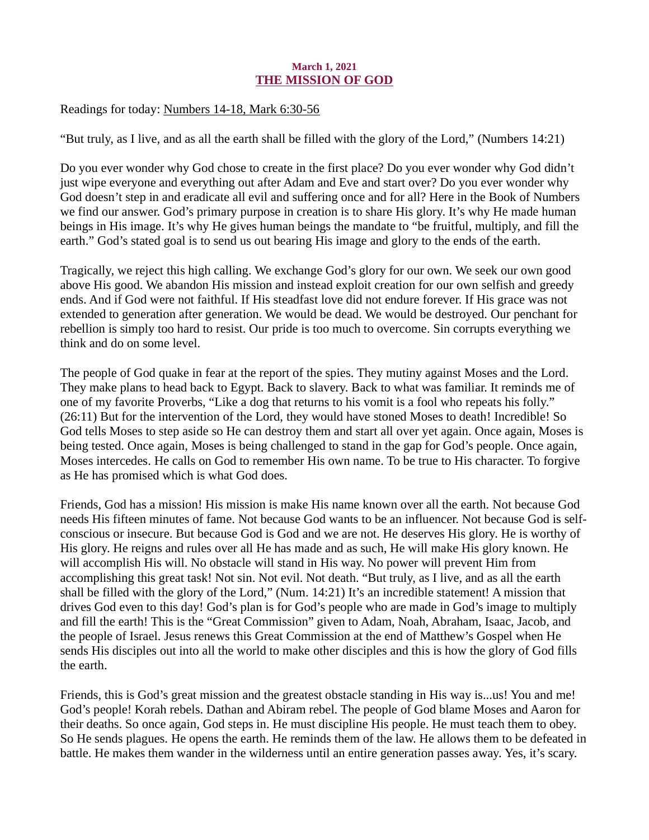## March 1, 2021 THE MISSION OF GOD

## <span id="page-2-0"></span>Readings for today[: Numbers 14-18, Mark 6:30-56](https://www.biblegateway.com/passage/?search=Numbers+14-18%2C+Mark+6%3A30-56&version=ESV)

"But truly, as I live, and as all the earth shall be filled with the glory of the Lord," (Numbers 14:21)

Do you ever wonder why God chose to create in the first place? Do you ever wonder why God didn't just wipe everyone and everything out after Adam and Eve and start over? Do you ever wonder why God doesn't step in and eradicate all evil and suffering once and for all? Here in the Book of Numbers we find our answer. God's primary purpose in creation is to share His glory. It's why He made human beings in His image. It's why He gives human beings the mandate to "be fruitful, multiply, and fill the earth." God's stated goal is to send us out bearing His image and glory to the ends of the earth.

Tragically, we reject this high calling. We exchange God's glory for our own. We seek our own good above His good. We abandon His mission and instead exploit creation for our own selfish and greedy ends. And if God were not faithful. If His steadfast love did not endure forever. If His grace was not extended to generation after generation. We would be dead. We would be destroyed. Our penchant for rebellion is simply too hard to resist. Our pride is too much to overcome. Sin corrupts everything we think and do on some level.

The people of God quake in fear at the report of the spies. They mutiny against Moses and the Lord. They make plans to head back to Egypt. Back to slavery. Back to what was familiar. It reminds me of one of my favorite Proverbs, "Like a dog that returns to his vomit is a fool who repeats his folly." (26:11) But for the intervention of the Lord, they would have stoned Moses to death! Incredible! So God tells Moses to step aside so He can destroy them and start all over yet again. Once again, Moses is being tested. Once again, Moses is being challenged to stand in the gap for God's people. Once again, Moses intercedes. He calls on God to remember His own name. To be true to His character. To forgive as He has promised which is what God does.

Friends, God has a mission! His mission is make His name known over all the earth. Not because God needs His fifteen minutes of fame. Not because God wants to be an influencer. Not because God is selfconscious or insecure. But because God is God and we are not. He deserves His glory. He is worthy of His glory. He reigns and rules over all He has made and as such, He will make His glory known. He will accomplish His will. No obstacle will stand in His way. No power will prevent Him from accomplishing this great task! Not sin. Not evil. Not death. "But truly, as I live, and as all the earth shall be filled with the glory of the Lord," (Num. 14:21) It's an incredible statement! A mission that drives God even to this day! God's plan is for God's people who are made in God's image to multiply and fill the earth! This is the "Great Commission" given to Adam, Noah, Abraham, Isaac, Jacob, and the people of Israel. Jesus renews this Great Commission at the end of Matthew's Gospel when He sends His disciples out into all the world to make other disciples and this is how the glory of God fills the earth.

Friends, this is God's great mission and the greatest obstacle standing in His way is...us! You and me! God's people! Korah rebels. Dathan and Abiram rebel. The people of God blame Moses and Aaron for their deaths. So once again, God steps in. He must discipline His people. He must teach them to obey. So He sends plagues. He opens the earth. He reminds them of the law. He allows them to be defeated in battle. He makes them wander in the wilderness until an entire generation passes away. Yes, it's scary.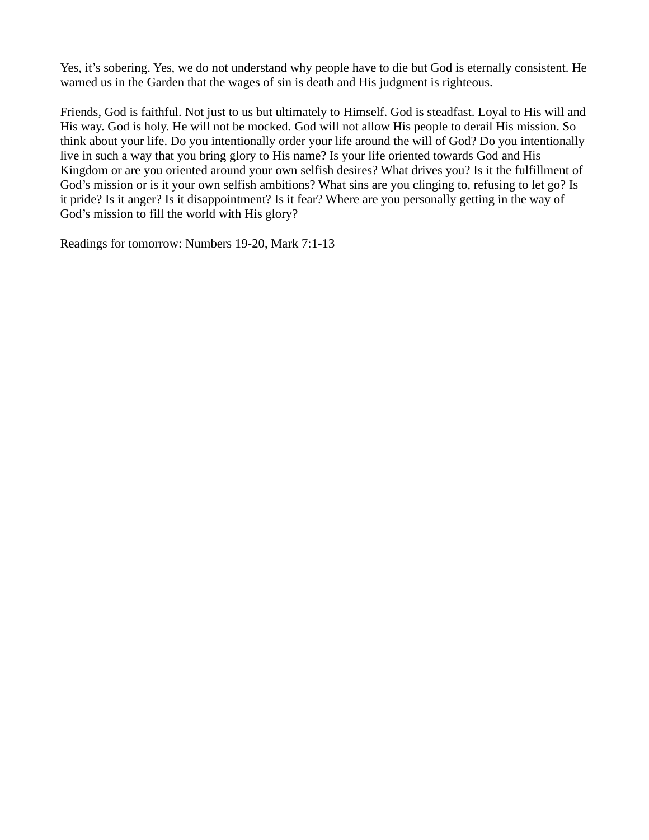Yes, it's sobering. Yes, we do not understand why people have to die but God is eternally consistent. He warned us in the Garden that the wages of sin is death and His judgment is righteous.

Friends, God is faithful. Not just to us but ultimately to Himself. God is steadfast. Loyal to His will and His way. God is holy. He will not be mocked. God will not allow His people to derail His mission. So think about your life. Do you intentionally order your life around the will of God? Do you intentionally live in such a way that you bring glory to His name? Is your life oriented towards God and His Kingdom or are you oriented around your own selfish desires? What drives you? Is it the fulfillment of God's mission or is it your own selfish ambitions? What sins are you clinging to, refusing to let go? Is it pride? Is it anger? Is it disappointment? Is it fear? Where are you personally getting in the way of God's mission to fill the world with His glory?

Readings for tomorrow: Numbers 19-20, Mark 7:1-13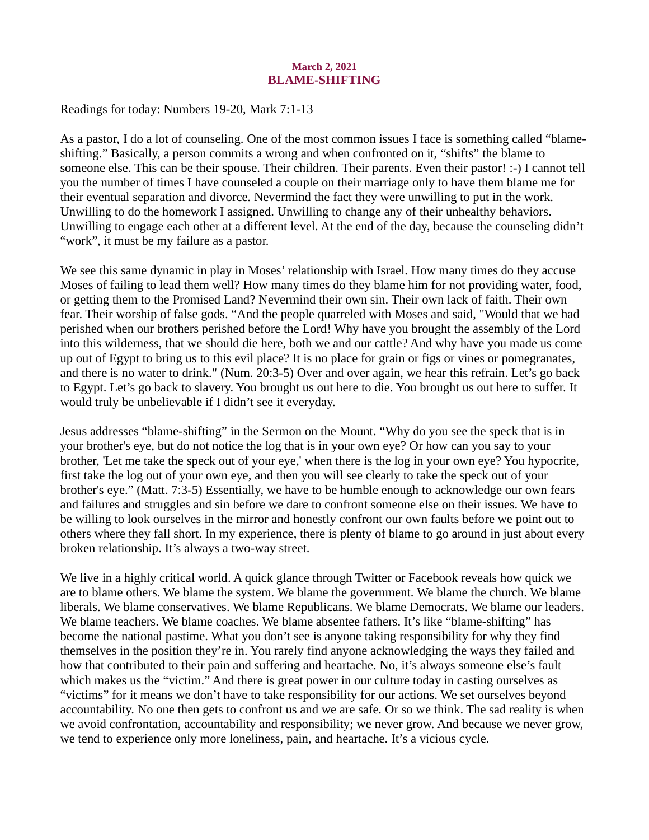## March 2, 2021 BLAME-SHIFTING

<span id="page-4-0"></span>Readings for today[: Numbers 19-20, Mark 7:1-13](https://www.biblegateway.com/passage/?search=Numbers+19-20%2C+Mark+7%3A1-13&version=ESV)

As a pastor, I do a lot of counseling. One of the most common issues I face is something called "blameshifting." Basically, a person commits a wrong and when confronted on it, "shifts" the blame to someone else. This can be their spouse. Their children. Their parents. Even their pastor! :-) I cannot tell you the number of times I have counseled a couple on their marriage only to have them blame me for their eventual separation and divorce. Nevermind the fact they were unwilling to put in the work. Unwilling to do the homework I assigned. Unwilling to change any of their unhealthy behaviors. Unwilling to engage each other at a different level. At the end of the day, because the counseling didn't "work", it must be my failure as a pastor.

We see this same dynamic in play in Moses' relationship with Israel. How many times do they accuse Moses of failing to lead them well? How many times do they blame him for not providing water, food, or getting them to the Promised Land? Nevermind their own sin. Their own lack of faith. Their own fear. Their worship of false gods. "And the people quarreled with Moses and said, "Would that we had perished when our brothers perished before the Lord! Why have you brought the assembly of the Lord into this wilderness, that we should die here, both we and our cattle? And why have you made us come up out of Egypt to bring us to this evil place? It is no place for grain or figs or vines or pomegranates, and there is no water to drink." (Num. 20:3-5) Over and over again, we hear this refrain. Let's go back to Egypt. Let's go back to slavery. You brought us out here to die. You brought us out here to suffer. It would truly be unbelievable if I didn't see it everyday.

Jesus addresses "blame-shifting" in the Sermon on the Mount. "Why do you see the speck that is in your brother's eye, but do not notice the log that is in your own eye? Or how can you say to your brother, 'Let me take the speck out of your eye,' when there is the log in your own eye? You hypocrite, first take the log out of your own eye, and then you will see clearly to take the speck out of your brother's eye." (Matt. 7:3-5) Essentially, we have to be humble enough to acknowledge our own fears and failures and struggles and sin before we dare to confront someone else on their issues. We have to be willing to look ourselves in the mirror and honestly confront our own faults before we point out to others where they fall short. In my experience, there is plenty of blame to go around in just about every broken relationship. It's always a two-way street.

We live in a highly critical world. A quick glance through Twitter or Facebook reveals how quick we are to blame others. We blame the system. We blame the government. We blame the church. We blame liberals. We blame conservatives. We blame Republicans. We blame Democrats. We blame our leaders. We blame teachers. We blame coaches. We blame absentee fathers. It's like "blame-shifting" has become the national pastime. What you don't see is anyone taking responsibility for why they find themselves in the position they're in. You rarely find anyone acknowledging the ways they failed and how that contributed to their pain and suffering and heartache. No, it's always someone else's fault which makes us the "victim." And there is great power in our culture today in casting ourselves as "victims" for it means we don't have to take responsibility for our actions. We set ourselves beyond accountability. No one then gets to confront us and we are safe. Or so we think. The sad reality is when we avoid confrontation, accountability and responsibility; we never grow. And because we never grow, we tend to experience only more loneliness, pain, and heartache. It's a vicious cycle.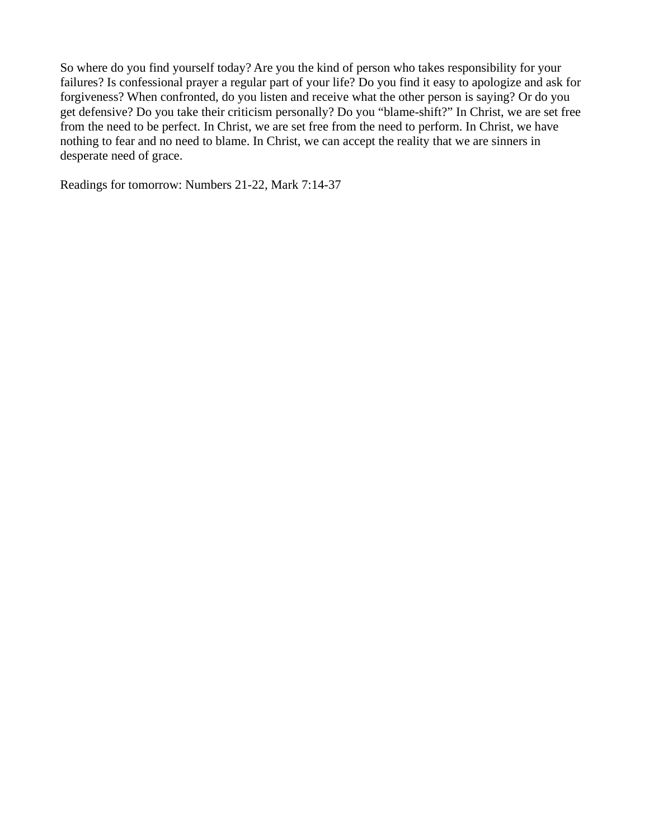So where do you find yourself today? Are you the kind of person who takes responsibility for your failures? Is confessional prayer a regular part of your life? Do you find it easy to apologize and ask for forgiveness? When confronted, do you listen and receive what the other person is saying? Or do you get defensive? Do you take their criticism personally? Do you "blame-shift?" In Christ, we are set free from the need to be perfect. In Christ, we are set free from the need to perform. In Christ, we have nothing to fear and no need to blame. In Christ, we can accept the reality that we are sinners in desperate need of grace.

Readings for tomorrow: Numbers 21-22, Mark 7:14-37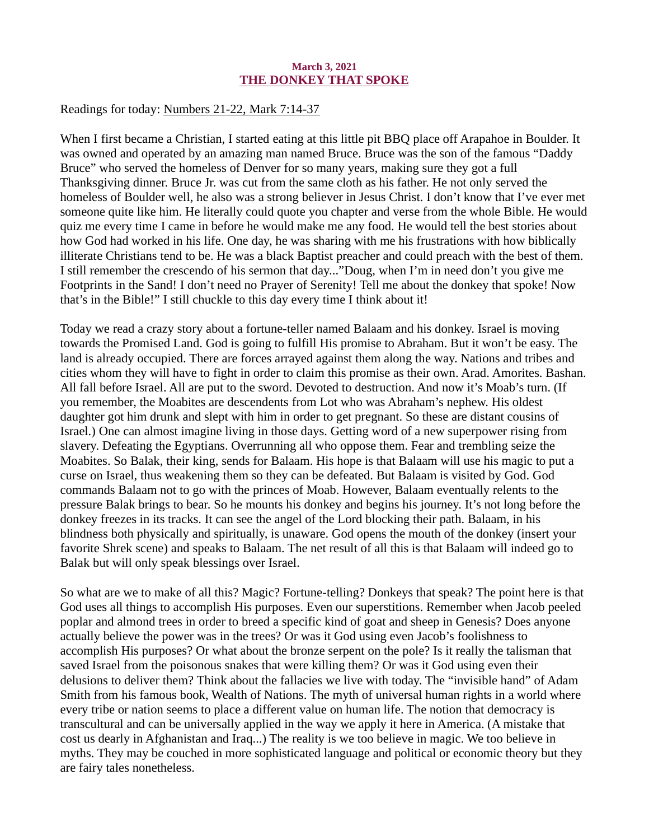## March 3, 2021 THE DONKEY THAT SPOKE

<span id="page-6-0"></span>Readings for today: [Numbers 21-22, Mark 7:14-37](https://www.biblegateway.com/passage/?search=Numbers+21-22%2C+Mark+7%3A14-37&version=ESV)

When I first became a Christian, I started eating at this little pit BBQ place off Arapahoe in Boulder. It was owned and operated by an amazing man named Bruce. Bruce was the son of the famous "Daddy Bruce" who served the homeless of Denver for so many years, making sure they got a full Thanksgiving dinner. Bruce Jr. was cut from the same cloth as his father. He not only served the homeless of Boulder well, he also was a strong believer in Jesus Christ. I don't know that I've ever met someone quite like him. He literally could quote you chapter and verse from the whole Bible. He would quiz me every time I came in before he would make me any food. He would tell the best stories about how God had worked in his life. One day, he was sharing with me his frustrations with how biblically illiterate Christians tend to be. He was a black Baptist preacher and could preach with the best of them. I still remember the crescendo of his sermon that day..."Doug, when I'm in need don't you give me Footprints in the Sand! I don't need no Prayer of Serenity! Tell me about the donkey that spoke! Now that's in the Bible!" I still chuckle to this day every time I think about it!

Today we read a crazy story about a fortune-teller named Balaam and his donkey. Israel is moving towards the Promised Land. God is going to fulfill His promise to Abraham. But it won't be easy. The land is already occupied. There are forces arrayed against them along the way. Nations and tribes and cities whom they will have to fight in order to claim this promise as their own. Arad. Amorites. Bashan. All fall before Israel. All are put to the sword. Devoted to destruction. And now it's Moab's turn. (If you remember, the Moabites are descendents from Lot who was Abraham's nephew. His oldest daughter got him drunk and slept with him in order to get pregnant. So these are distant cousins of Israel.) One can almost imagine living in those days. Getting word of a new superpower rising from slavery. Defeating the Egyptians. Overrunning all who oppose them. Fear and trembling seize the Moabites. So Balak, their king, sends for Balaam. His hope is that Balaam will use his magic to put a curse on Israel, thus weakening them so they can be defeated. But Balaam is visited by God. God commands Balaam not to go with the princes of Moab. However, Balaam eventually relents to the pressure Balak brings to bear. So he mounts his donkey and begins his journey. It's not long before the donkey freezes in its tracks. It can see the angel of the Lord blocking their path. Balaam, in his blindness both physically and spiritually, is unaware. God opens the mouth of the donkey (insert your favorite Shrek scene) and speaks to Balaam. The net result of all this is that Balaam will indeed go to Balak but will only speak blessings over Israel.

So what are we to make of all this? Magic? Fortune-telling? Donkeys that speak? The point here is that God uses all things to accomplish His purposes. Even our superstitions. Remember when Jacob peeled poplar and almond trees in order to breed a specific kind of goat and sheep in Genesis? Does anyone actually believe the power was in the trees? Or was it God using even Jacob's foolishness to accomplish His purposes? Or what about the bronze serpent on the pole? Is it really the talisman that saved Israel from the poisonous snakes that were killing them? Or was it God using even their delusions to deliver them? Think about the fallacies we live with today. The "invisible hand" of Adam Smith from his famous book, Wealth of Nations. The myth of universal human rights in a world where every tribe or nation seems to place a different value on human life. The notion that democracy is transcultural and can be universally applied in the way we apply it here in America. (A mistake that cost us dearly in Afghanistan and Iraq...) The reality is we too believe in magic. We too believe in myths. They may be couched in more sophisticated language and political or economic theory but they are fairy tales nonetheless.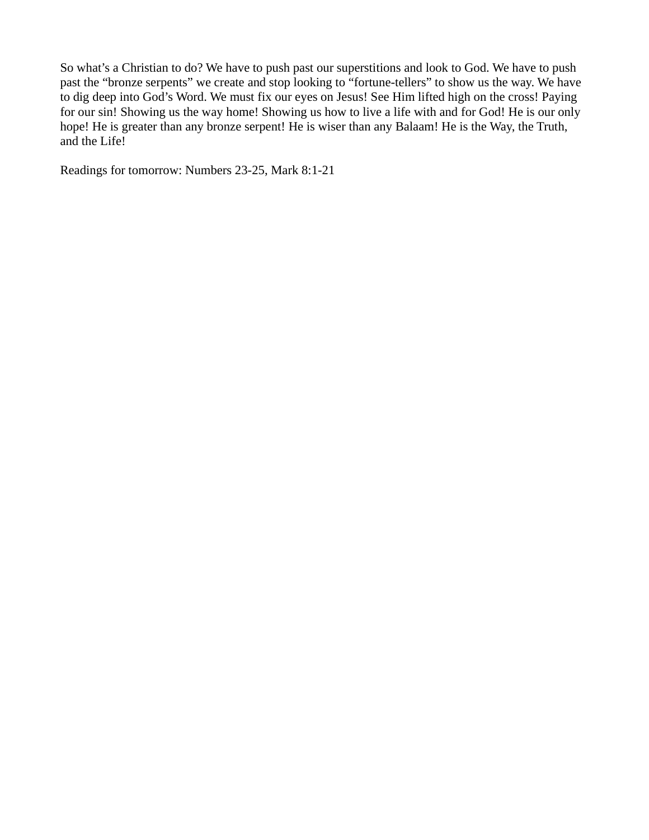So what's a Christian to do? We have to push past our superstitions and look to God. We have to push past the "bronze serpents" we create and stop looking to "fortune-tellers" to show us the way. We have to dig deep into God's Word. We must fix our eyes on Jesus! See Him lifted high on the cross! Paying for our sin! Showing us the way home! Showing us how to live a life with and for God! He is our only hope! He is greater than any bronze serpent! He is wiser than any Balaam! He is the Way, the Truth, and the Life!

Readings for tomorrow: Numbers 23-25, Mark 8:1-21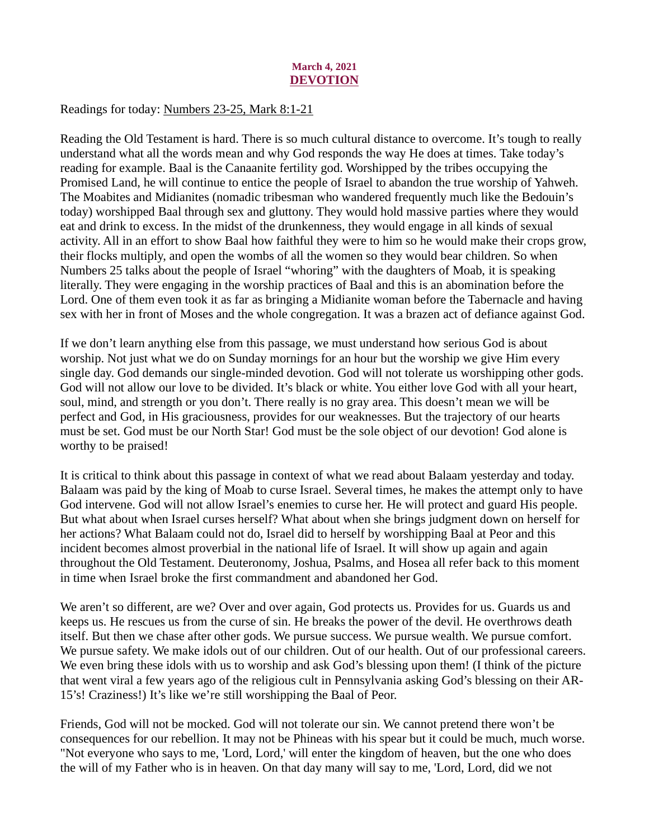## March 4, 2021 DEVOTION

<span id="page-8-0"></span>Readings for today[: Numbers 23-25, Mark 8:1-21](https://www.biblegateway.com/passage/?search=Numbers+23-25%2C+Mark+8%3A1-21&version=ESV)

Reading the Old Testament is hard. There is so much cultural distance to overcome. It's tough to really understand what all the words mean and why God responds the way He does at times. Take today's reading for example. Baal is the Canaanite fertility god. Worshipped by the tribes occupying the Promised Land, he will continue to entice the people of Israel to abandon the true worship of Yahweh. The Moabites and Midianites (nomadic tribesman who wandered frequently much like the Bedouin's today) worshipped Baal through sex and gluttony. They would hold massive parties where they would eat and drink to excess. In the midst of the drunkenness, they would engage in all kinds of sexual activity. All in an effort to show Baal how faithful they were to him so he would make their crops grow, their flocks multiply, and open the wombs of all the women so they would bear children. So when Numbers 25 talks about the people of Israel "whoring" with the daughters of Moab, it is speaking literally. They were engaging in the worship practices of Baal and this is an abomination before the Lord. One of them even took it as far as bringing a Midianite woman before the Tabernacle and having sex with her in front of Moses and the whole congregation. It was a brazen act of defiance against God.

If we don't learn anything else from this passage, we must understand how serious God is about worship. Not just what we do on Sunday mornings for an hour but the worship we give Him every single day. God demands our single-minded devotion. God will not tolerate us worshipping other gods. God will not allow our love to be divided. It's black or white. You either love God with all your heart, soul, mind, and strength or you don't. There really is no gray area. This doesn't mean we will be perfect and God, in His graciousness, provides for our weaknesses. But the trajectory of our hearts must be set. God must be our North Star! God must be the sole object of our devotion! God alone is worthy to be praised!

It is critical to think about this passage in context of what we read about Balaam yesterday and today. Balaam was paid by the king of Moab to curse Israel. Several times, he makes the attempt only to have God intervene. God will not allow Israel's enemies to curse her. He will protect and guard His people. But what about when Israel curses herself? What about when she brings judgment down on herself for her actions? What Balaam could not do, Israel did to herself by worshipping Baal at Peor and this incident becomes almost proverbial in the national life of Israel. It will show up again and again throughout the Old Testament. Deuteronomy, Joshua, Psalms, and Hosea all refer back to this moment in time when Israel broke the first commandment and abandoned her God.

We aren't so different, are we? Over and over again, God protects us. Provides for us. Guards us and keeps us. He rescues us from the curse of sin. He breaks the power of the devil. He overthrows death itself. But then we chase after other gods. We pursue success. We pursue wealth. We pursue comfort. We pursue safety. We make idols out of our children. Out of our health. Out of our professional careers. We even bring these idols with us to worship and ask God's blessing upon them! (I think of the picture that went viral a few years ago of the religious cult in Pennsylvania asking God's blessing on their AR-15's! Craziness!) It's like we're still worshipping the Baal of Peor.

Friends, God will not be mocked. God will not tolerate our sin. We cannot pretend there won't be consequences for our rebellion. It may not be Phineas with his spear but it could be much, much worse. "Not everyone who says to me, 'Lord, Lord,' will enter the kingdom of heaven, but the one who does the will of my Father who is in heaven. On that day many will say to me, 'Lord, Lord, did we not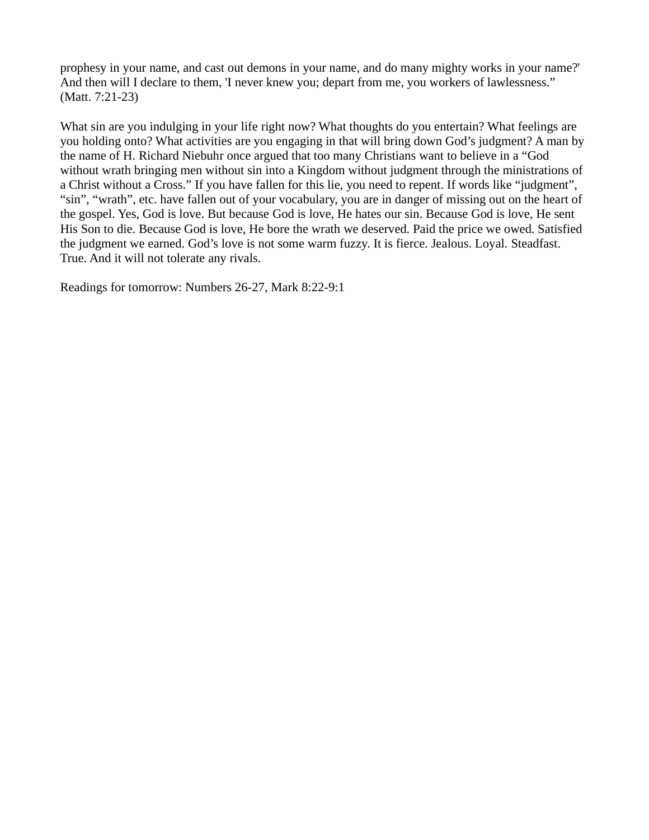prophesy in your name, and cast out demons in your name, and do many mighty works in your name?' And then will I declare to them, 'I never knew you; depart from me, you workers of lawlessness." (Matt. 7:21-23)

What sin are you indulging in your life right now? What thoughts do you entertain? What feelings are you holding onto? What activities are you engaging in that will bring down God's judgment? A man by the name of H. Richard Niebuhr once argued that too many Christians want to believe in a "God without wrath bringing men without sin into a Kingdom without judgment through the ministrations of a Christ without a Cross." If you have fallen for this lie, you need to repent. If words like "judgment", "sin", "wrath", etc. have fallen out of your vocabulary, you are in danger of missing out on the heart of the gospel. Yes, God is love. But because God is love, He hates our sin. Because God is love, He sent His Son to die. Because God is love, He bore the wrath we deserved. Paid the price we owed. Satisfied the judgment we earned. God's love is not some warm fuzzy. It is fierce. Jealous. Loyal. Steadfast. True. And it will not tolerate any rivals.

Readings for tomorrow: Numbers 26-27, Mark 8:22-9:1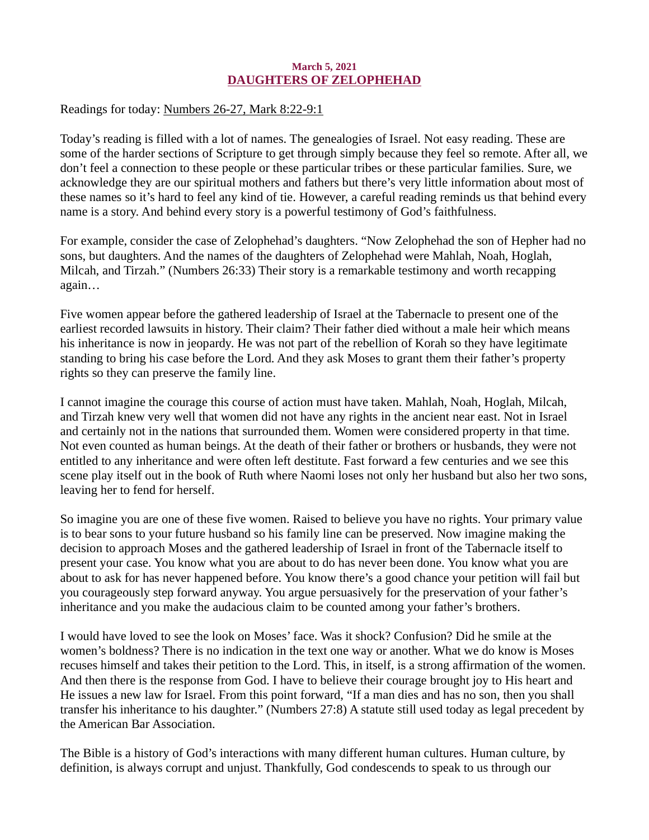#### March 5, 2021 DAUGHTERS OF ZELOPHEHAD

<span id="page-10-0"></span>Readings for today: [Numbers 26-27, Mark 8:22-9:1](https://www.biblegateway.com/passage/?search=Numbers+26-27%2C+Mark+8%3A22-9%3A1&version=ESV)

Today's reading is filled with a lot of names. The genealogies of Israel. Not easy reading. These are some of the harder sections of Scripture to get through simply because they feel so remote. After all, we don't feel a connection to these people or these particular tribes or these particular families. Sure, we acknowledge they are our spiritual mothers and fathers but there's very little information about most of these names so it's hard to feel any kind of tie. However, a careful reading reminds us that behind every name is a story. And behind every story is a powerful testimony of God's faithfulness.

For example, consider the case of Zelophehad's daughters. "Now Zelophehad the son of Hepher had no sons, but daughters. And the names of the daughters of Zelophehad were Mahlah, Noah, Hoglah, Milcah, and Tirzah." (Numbers 26:33) Their story is a remarkable testimony and worth recapping again…

Five women appear before the gathered leadership of Israel at the Tabernacle to present one of the earliest recorded lawsuits in history. Their claim? Their father died without a male heir which means his inheritance is now in jeopardy. He was not part of the rebellion of Korah so they have legitimate standing to bring his case before the Lord. And they ask Moses to grant them their father's property rights so they can preserve the family line.

I cannot imagine the courage this course of action must have taken. Mahlah, Noah, Hoglah, Milcah, and Tirzah knew very well that women did not have any rights in the ancient near east. Not in Israel and certainly not in the nations that surrounded them. Women were considered property in that time. Not even counted as human beings. At the death of their father or brothers or husbands, they were not entitled to any inheritance and were often left destitute. Fast forward a few centuries and we see this scene play itself out in the book of Ruth where Naomi loses not only her husband but also her two sons, leaving her to fend for herself.

So imagine you are one of these five women. Raised to believe you have no rights. Your primary value is to bear sons to your future husband so his family line can be preserved. Now imagine making the decision to approach Moses and the gathered leadership of Israel in front of the Tabernacle itself to present your case. You know what you are about to do has never been done. You know what you are about to ask for has never happened before. You know there's a good chance your petition will fail but you courageously step forward anyway. You argue persuasively for the preservation of your father's inheritance and you make the audacious claim to be counted among your father's brothers.

I would have loved to see the look on Moses' face. Was it shock? Confusion? Did he smile at the women's boldness? There is no indication in the text one way or another. What we do know is Moses recuses himself and takes their petition to the Lord. This, in itself, is a strong affirmation of the women. And then there is the response from God. I have to believe their courage brought joy to His heart and He issues a new law for Israel. From this point forward, "If a man dies and has no son, then you shall transfer his inheritance to his daughter." (Numbers 27:8) A statute still used today as legal precedent by the American Bar Association.

The Bible is a history of God's interactions with many different human cultures. Human culture, by definition, is always corrupt and unjust. Thankfully, God condescends to speak to us through our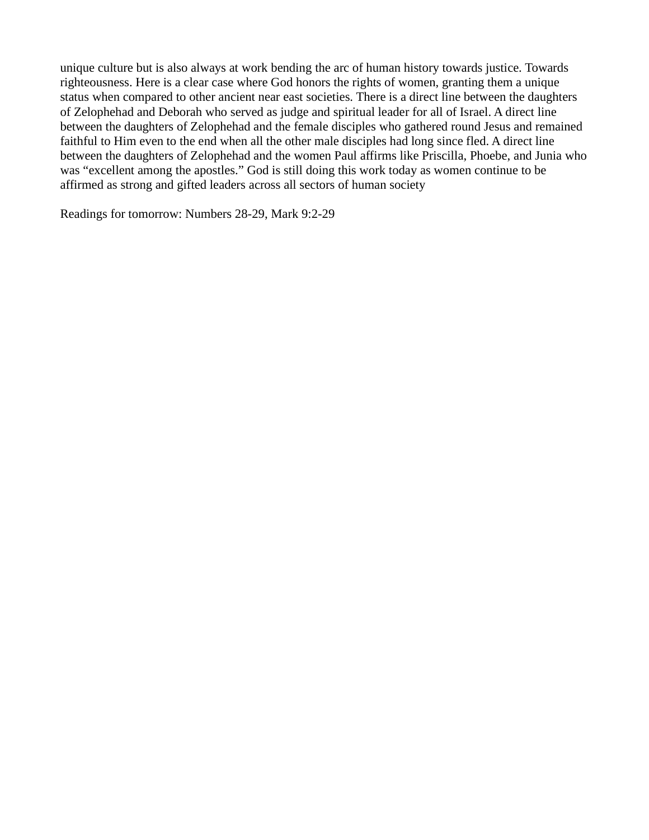unique culture but is also always at work bending the arc of human history towards justice. Towards righteousness. Here is a clear case where God honors the rights of women, granting them a unique status when compared to other ancient near east societies. There is a direct line between the daughters of Zelophehad and Deborah who served as judge and spiritual leader for all of Israel. A direct line between the daughters of Zelophehad and the female disciples who gathered round Jesus and remained faithful to Him even to the end when all the other male disciples had long since fled. A direct line between the daughters of Zelophehad and the women Paul affirms like Priscilla, Phoebe, and Junia who was "excellent among the apostles." God is still doing this work today as women continue to be affirmed as strong and gifted leaders across all sectors of human society

Readings for tomorrow: Numbers 28-29, Mark 9:2-29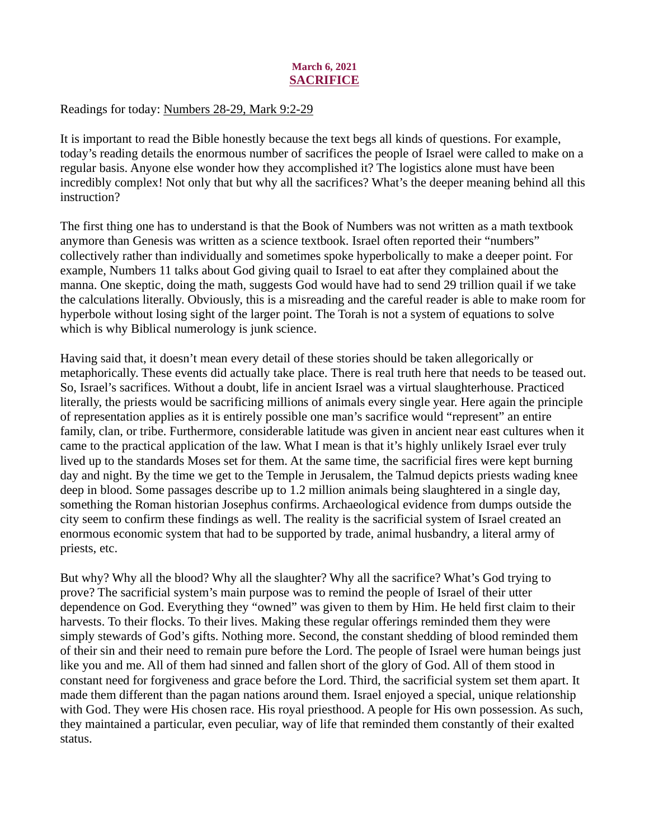# March 6, 2021 SACRIFICE

## <span id="page-12-0"></span>Readings for today[: Numbers 28-29, Mark 9:2-29](https://www.biblegateway.com/passage/?search=Numbers+28-29%2C+Mark+9%3A2-29&version=ESV)

It is important to read the Bible honestly because the text begs all kinds of questions. For example, today's reading details the enormous number of sacrifices the people of Israel were called to make on a regular basis. Anyone else wonder how they accomplished it? The logistics alone must have been incredibly complex! Not only that but why all the sacrifices? What's the deeper meaning behind all this instruction?

The first thing one has to understand is that the Book of Numbers was not written as a math textbook anymore than Genesis was written as a science textbook. Israel often reported their "numbers" collectively rather than individually and sometimes spoke hyperbolically to make a deeper point. For example, Numbers 11 talks about God giving quail to Israel to eat after they complained about the manna. One skeptic, doing the math, suggests God would have had to send 29 trillion quail if we take the calculations literally. Obviously, this is a misreading and the careful reader is able to make room for hyperbole without losing sight of the larger point. The Torah is not a system of equations to solve which is why Biblical numerology is junk science.

Having said that, it doesn't mean every detail of these stories should be taken allegorically or metaphorically. These events did actually take place. There is real truth here that needs to be teased out. So, Israel's sacrifices. Without a doubt, life in ancient Israel was a virtual slaughterhouse. Practiced literally, the priests would be sacrificing millions of animals every single year. Here again the principle of representation applies as it is entirely possible one man's sacrifice would "represent" an entire family, clan, or tribe. Furthermore, considerable latitude was given in ancient near east cultures when it came to the practical application of the law. What I mean is that it's highly unlikely Israel ever truly lived up to the standards Moses set for them. At the same time, the sacrificial fires were kept burning day and night. By the time we get to the Temple in Jerusalem, the Talmud depicts priests wading knee deep in blood. Some passages describe up to 1.2 million animals being slaughtered in a single day, something the Roman historian Josephus confirms. Archaeological evidence from dumps outside the city seem to confirm these findings as well. The reality is the sacrificial system of Israel created an enormous economic system that had to be supported by trade, animal husbandry, a literal army of priests, etc.

But why? Why all the blood? Why all the slaughter? Why all the sacrifice? What's God trying to prove? The sacrificial system's main purpose was to remind the people of Israel of their utter dependence on God. Everything they "owned" was given to them by Him. He held first claim to their harvests. To their flocks. To their lives. Making these regular offerings reminded them they were simply stewards of God's gifts. Nothing more. Second, the constant shedding of blood reminded them of their sin and their need to remain pure before the Lord. The people of Israel were human beings just like you and me. All of them had sinned and fallen short of the glory of God. All of them stood in constant need for forgiveness and grace before the Lord. Third, the sacrificial system set them apart. It made them different than the pagan nations around them. Israel enjoyed a special, unique relationship with God. They were His chosen race. His royal priesthood. A people for His own possession. As such, they maintained a particular, even peculiar, way of life that reminded them constantly of their exalted status.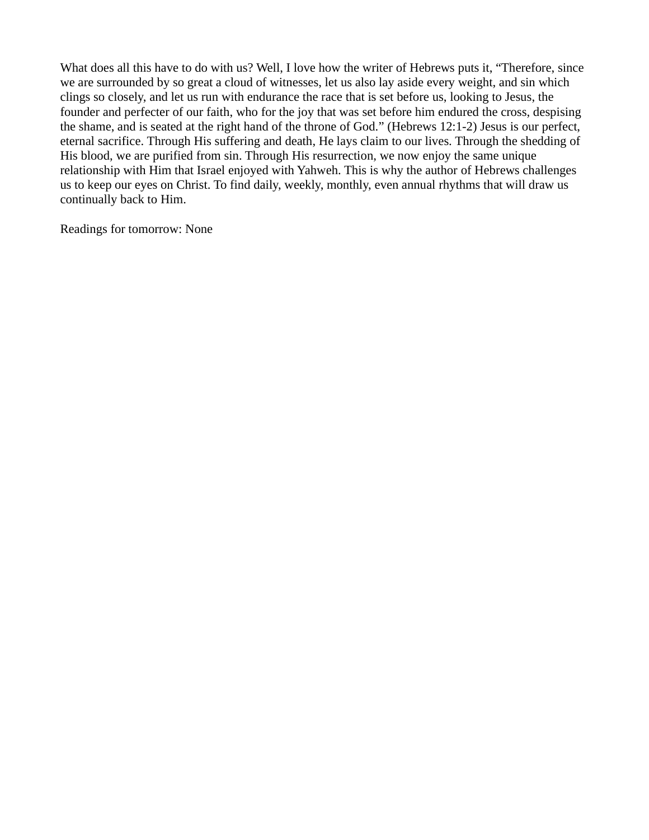What does all this have to do with us? Well, I love how the writer of Hebrews puts it, "Therefore, since we are surrounded by so great a cloud of witnesses, let us also lay aside every weight, and sin which clings so closely, and let us run with endurance the race that is set before us, looking to Jesus, the founder and perfecter of our faith, who for the joy that was set before him endured the cross, despising the shame, and is seated at the right hand of the throne of God." (Hebrews 12:1-2) Jesus is our perfect, eternal sacrifice. Through His suffering and death, He lays claim to our lives. Through the shedding of His blood, we are purified from sin. Through His resurrection, we now enjoy the same unique relationship with Him that Israel enjoyed with Yahweh. This is why the author of Hebrews challenges us to keep our eyes on Christ. To find daily, weekly, monthly, even annual rhythms that will draw us continually back to Him.

Readings for tomorrow: None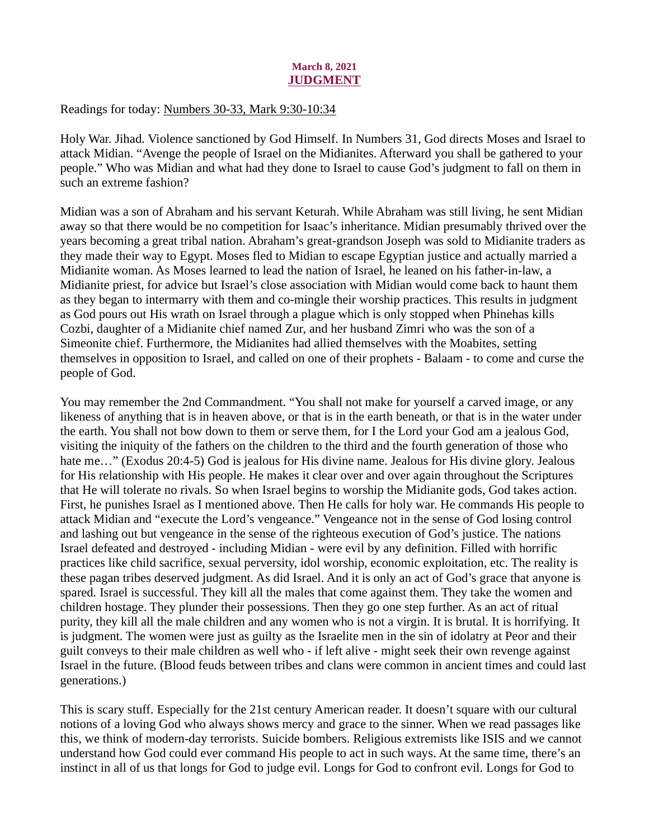## March 8, 2021 JUDGMENT

## <span id="page-14-0"></span>Readings for today[: Numbers 30-33, Mark 9:30-10:34](https://www.biblegateway.com/passage/?search=Numbers+30-33%2C+Mark+9%3A30-10%3A34&version=ESV)

Holy War. Jihad. Violence sanctioned by God Himself. In Numbers 31, God directs Moses and Israel to attack Midian. "Avenge the people of Israel on the Midianites. Afterward you shall be gathered to your people." Who was Midian and what had they done to Israel to cause God's judgment to fall on them in such an extreme fashion?

Midian was a son of Abraham and his servant Keturah. While Abraham was still living, he sent Midian away so that there would be no competition for Isaac's inheritance. Midian presumably thrived over the years becoming a great tribal nation. Abraham's great-grandson Joseph was sold to Midianite traders as they made their way to Egypt. Moses fled to Midian to escape Egyptian justice and actually married a Midianite woman. As Moses learned to lead the nation of Israel, he leaned on his father-in-law, a Midianite priest, for advice but Israel's close association with Midian would come back to haunt them as they began to intermarry with them and co-mingle their worship practices. This results in judgment as God pours out His wrath on Israel through a plague which is only stopped when Phinehas kills Cozbi, daughter of a Midianite chief named Zur, and her husband Zimri who was the son of a Simeonite chief. Furthermore, the Midianites had allied themselves with the Moabites, setting themselves in opposition to Israel, and called on one of their prophets - Balaam - to come and curse the people of God.

You may remember the 2nd Commandment. "You shall not make for yourself a carved image, or any likeness of anything that is in heaven above, or that is in the earth beneath, or that is in the water under the earth. You shall not bow down to them or serve them, for I the Lord your God am a jealous God, visiting the iniquity of the fathers on the children to the third and the fourth generation of those who hate me..." (Exodus 20:4-5) God is jealous for His divine name. Jealous for His divine glory. Jealous for His relationship with His people. He makes it clear over and over again throughout the Scriptures that He will tolerate no rivals. So when Israel begins to worship the Midianite gods, God takes action. First, he punishes Israel as I mentioned above. Then He calls for holy war. He commands His people to attack Midian and "execute the Lord's vengeance." Vengeance not in the sense of God losing control and lashing out but vengeance in the sense of the righteous execution of God's justice. The nations Israel defeated and destroyed - including Midian - were evil by any definition. Filled with horrific practices like child sacrifice, sexual perversity, idol worship, economic exploitation, etc. The reality is these pagan tribes deserved judgment. As did Israel. And it is only an act of God's grace that anyone is spared. Israel is successful. They kill all the males that come against them. They take the women and children hostage. They plunder their possessions. Then they go one step further. As an act of ritual purity, they kill all the male children and any women who is not a virgin. It is brutal. It is horrifying. It is judgment. The women were just as guilty as the Israelite men in the sin of idolatry at Peor and their guilt conveys to their male children as well who - if left alive - might seek their own revenge against Israel in the future. (Blood feuds between tribes and clans were common in ancient times and could last generations.)

This is scary stuff. Especially for the 21st century American reader. It doesn't square with our cultural notions of a loving God who always shows mercy and grace to the sinner. When we read passages like this, we think of modern-day terrorists. Suicide bombers. Religious extremists like ISIS and we cannot understand how God could ever command His people to act in such ways. At the same time, there's an instinct in all of us that longs for God to judge evil. Longs for God to confront evil. Longs for God to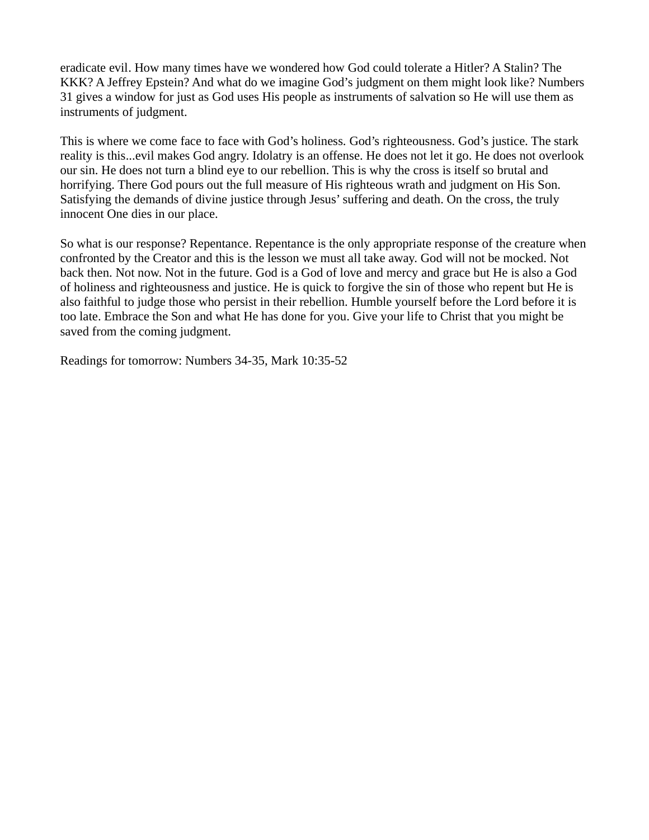eradicate evil. How many times have we wondered how God could tolerate a Hitler? A Stalin? The KKK? A Jeffrey Epstein? And what do we imagine God's judgment on them might look like? Numbers 31 gives a window for just as God uses His people as instruments of salvation so He will use them as instruments of judgment.

This is where we come face to face with God's holiness. God's righteousness. God's justice. The stark reality is this...evil makes God angry. Idolatry is an offense. He does not let it go. He does not overlook our sin. He does not turn a blind eye to our rebellion. This is why the cross is itself so brutal and horrifying. There God pours out the full measure of His righteous wrath and judgment on His Son. Satisfying the demands of divine justice through Jesus' suffering and death. On the cross, the truly innocent One dies in our place.

So what is our response? Repentance. Repentance is the only appropriate response of the creature when confronted by the Creator and this is the lesson we must all take away. God will not be mocked. Not back then. Not now. Not in the future. God is a God of love and mercy and grace but He is also a God of holiness and righteousness and justice. He is quick to forgive the sin of those who repent but He is also faithful to judge those who persist in their rebellion. Humble yourself before the Lord before it is too late. Embrace the Son and what He has done for you. Give your life to Christ that you might be saved from the coming judgment.

Readings for tomorrow: Numbers 34-35, Mark 10:35-52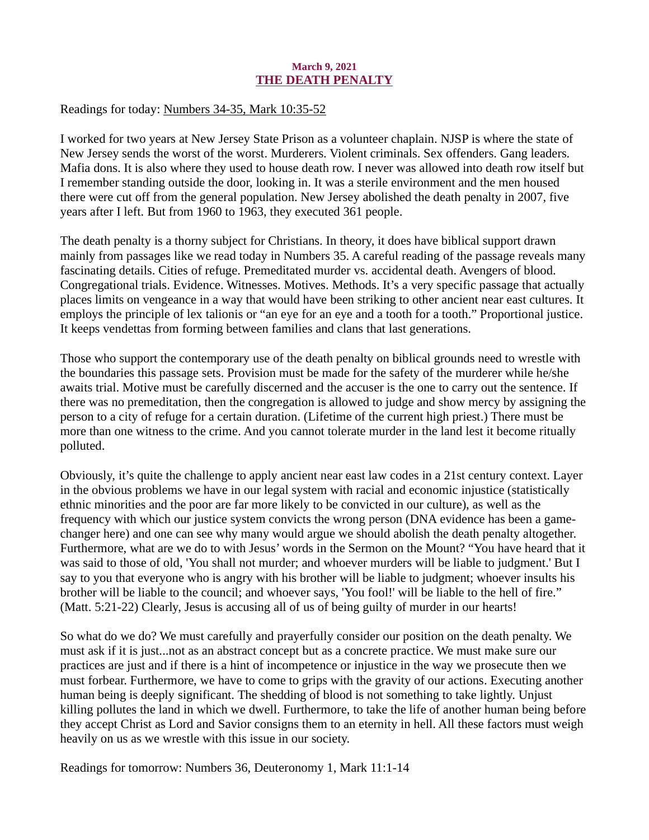#### March 9, 2021 THE DEATH PENALTY

<span id="page-16-0"></span>Readings for today[: Numbers 34-35, Mark 10:35-52](https://www.biblegateway.com/passage/?search=Numbers+34-35%2C+Mark+10%3A35-52&version=ESV)

I worked for two years at New Jersey State Prison as a volunteer chaplain. NJSP is where the state of New Jersey sends the worst of the worst. Murderers. Violent criminals. Sex offenders. Gang leaders. Mafia dons. It is also where they used to house death row. I never was allowed into death row itself but I remember standing outside the door, looking in. It was a sterile environment and the men housed there were cut off from the general population. New Jersey abolished the death penalty in 2007, five years after I left. But from 1960 to 1963, they executed 361 people.

The death penalty is a thorny subject for Christians. In theory, it does have biblical support drawn mainly from passages like we read today in Numbers 35. A careful reading of the passage reveals many fascinating details. Cities of refuge. Premeditated murder vs. accidental death. Avengers of blood. Congregational trials. Evidence. Witnesses. Motives. Methods. It's a very specific passage that actually places limits on vengeance in a way that would have been striking to other ancient near east cultures. It employs the principle of lex talionis or "an eye for an eye and a tooth for a tooth." Proportional justice. It keeps vendettas from forming between families and clans that last generations.

Those who support the contemporary use of the death penalty on biblical grounds need to wrestle with the boundaries this passage sets. Provision must be made for the safety of the murderer while he/she awaits trial. Motive must be carefully discerned and the accuser is the one to carry out the sentence. If there was no premeditation, then the congregation is allowed to judge and show mercy by assigning the person to a city of refuge for a certain duration. (Lifetime of the current high priest.) There must be more than one witness to the crime. And you cannot tolerate murder in the land lest it become ritually polluted.

Obviously, it's quite the challenge to apply ancient near east law codes in a 21st century context. Layer in the obvious problems we have in our legal system with racial and economic injustice (statistically ethnic minorities and the poor are far more likely to be convicted in our culture), as well as the frequency with which our justice system convicts the wrong person (DNA evidence has been a gamechanger here) and one can see why many would argue we should abolish the death penalty altogether. Furthermore, what are we do to with Jesus' words in the Sermon on the Mount? "You have heard that it was said to those of old, 'You shall not murder; and whoever murders will be liable to judgment.' But I say to you that everyone who is angry with his brother will be liable to judgment; whoever insults his brother will be liable to the council; and whoever says, 'You fool!' will be liable to the hell of fire." (Matt. 5:21-22) Clearly, Jesus is accusing all of us of being guilty of murder in our hearts!

So what do we do? We must carefully and prayerfully consider our position on the death penalty. We must ask if it is just...not as an abstract concept but as a concrete practice. We must make sure our practices are just and if there is a hint of incompetence or injustice in the way we prosecute then we must forbear. Furthermore, we have to come to grips with the gravity of our actions. Executing another human being is deeply significant. The shedding of blood is not something to take lightly. Unjust killing pollutes the land in which we dwell. Furthermore, to take the life of another human being before they accept Christ as Lord and Savior consigns them to an eternity in hell. All these factors must weigh heavily on us as we wrestle with this issue in our society.

Readings for tomorrow: Numbers 36, Deuteronomy 1, Mark 11:1-14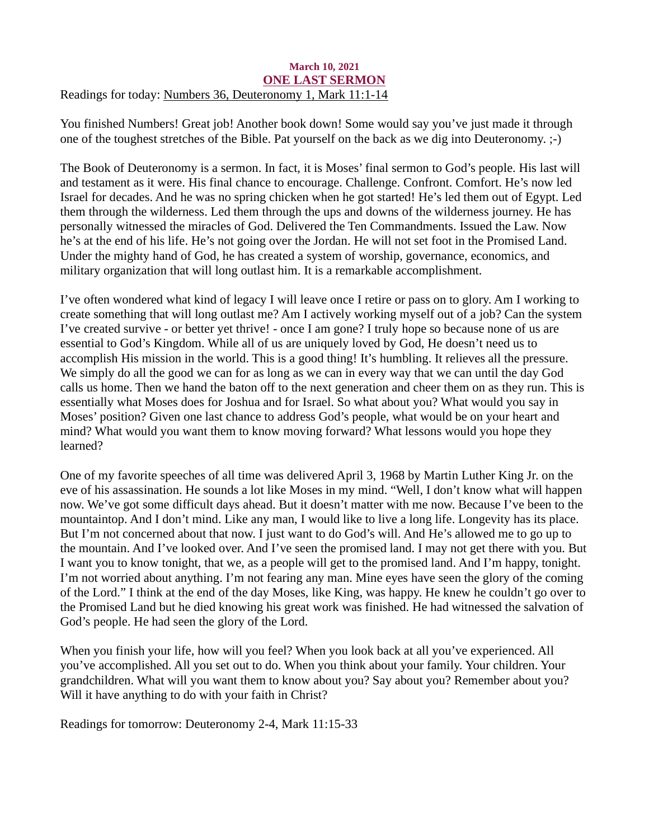## <span id="page-17-0"></span>March 10, 2021 ONE LAST SERMON Readings for toda[y: Numbers 36, Deuteronomy 1, Mark 11:1-14](https://www.biblegateway.com/passage/?search=Numbers+36%2C+Deuteronomy+1%2C+Mark+11%3A1-14&version=ESV)

You finished Numbers! Great job! Another book down! Some would say you've just made it through one of the toughest stretches of the Bible. Pat yourself on the back as we dig into Deuteronomy. ;-)

The Book of Deuteronomy is a sermon. In fact, it is Moses' final sermon to God's people. His last will and testament as it were. His final chance to encourage. Challenge. Confront. Comfort. He's now led Israel for decades. And he was no spring chicken when he got started! He's led them out of Egypt. Led them through the wilderness. Led them through the ups and downs of the wilderness journey. He has personally witnessed the miracles of God. Delivered the Ten Commandments. Issued the Law. Now he's at the end of his life. He's not going over the Jordan. He will not set foot in the Promised Land. Under the mighty hand of God, he has created a system of worship, governance, economics, and military organization that will long outlast him. It is a remarkable accomplishment.

I've often wondered what kind of legacy I will leave once I retire or pass on to glory. Am I working to create something that will long outlast me? Am I actively working myself out of a job? Can the system I've created survive - or better yet thrive! - once I am gone? I truly hope so because none of us are essential to God's Kingdom. While all of us are uniquely loved by God, He doesn't need us to accomplish His mission in the world. This is a good thing! It's humbling. It relieves all the pressure. We simply do all the good we can for as long as we can in every way that we can until the day God calls us home. Then we hand the baton off to the next generation and cheer them on as they run. This is essentially what Moses does for Joshua and for Israel. So what about you? What would you say in Moses' position? Given one last chance to address God's people, what would be on your heart and mind? What would you want them to know moving forward? What lessons would you hope they learned?

One of my favorite speeches of all time was delivered April 3, 1968 by Martin Luther King Jr. on the eve of his assassination. He sounds a lot like Moses in my mind. "Well, I don't know what will happen now. We've got some difficult days ahead. But it doesn't matter with me now. Because I've been to the mountaintop. And I don't mind. Like any man, I would like to live a long life. Longevity has its place. But I'm not concerned about that now. I just want to do God's will. And He's allowed me to go up to the mountain. And I've looked over. And I've seen the promised land. I may not get there with you. But I want you to know tonight, that we, as a people will get to the promised land. And I'm happy, tonight. I'm not worried about anything. I'm not fearing any man. Mine eyes have seen the glory of the coming of the Lord." I think at the end of the day Moses, like King, was happy. He knew he couldn't go over to the Promised Land but he died knowing his great work was finished. He had witnessed the salvation of God's people. He had seen the glory of the Lord.

When you finish your life, how will you feel? When you look back at all you've experienced. All you've accomplished. All you set out to do. When you think about your family. Your children. Your grandchildren. What will you want them to know about you? Say about you? Remember about you? Will it have anything to do with your faith in Christ?

Readings for tomorrow: Deuteronomy 2-4, Mark 11:15-33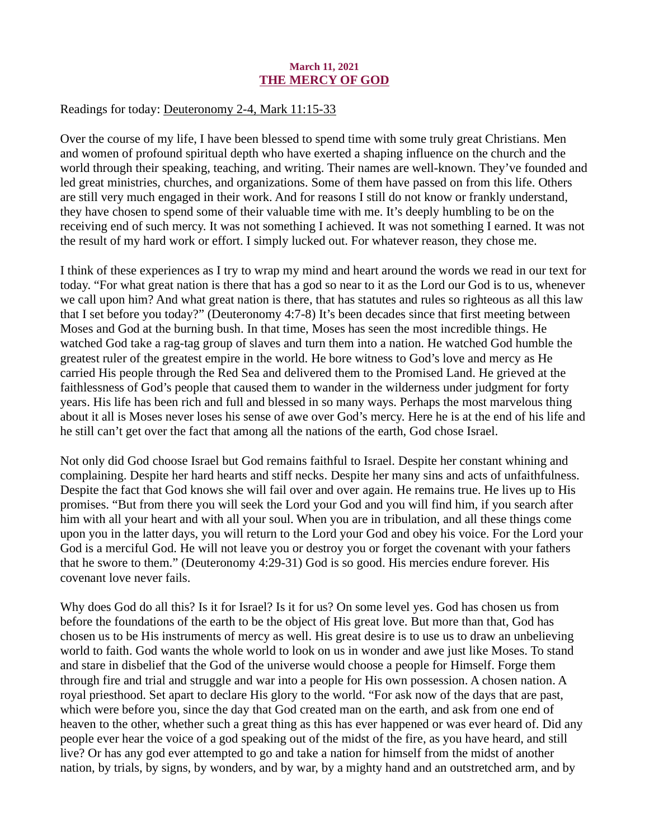## March 11, 2021 THE MERCY OF GOD

## <span id="page-18-0"></span>Readings for today: [Deuteronomy 2-4, Mark 11:15-33](https://www.biblegateway.com/passage/?search=Deuteronomy+2-4%2C+Mark+11%3A15-33&version=ESV)

Over the course of my life, I have been blessed to spend time with some truly great Christians. Men and women of profound spiritual depth who have exerted a shaping influence on the church and the world through their speaking, teaching, and writing. Their names are well-known. They've founded and led great ministries, churches, and organizations. Some of them have passed on from this life. Others are still very much engaged in their work. And for reasons I still do not know or frankly understand, they have chosen to spend some of their valuable time with me. It's deeply humbling to be on the receiving end of such mercy. It was not something I achieved. It was not something I earned. It was not the result of my hard work or effort. I simply lucked out. For whatever reason, they chose me.

I think of these experiences as I try to wrap my mind and heart around the words we read in our text for today. "For what great nation is there that has a god so near to it as the Lord our God is to us, whenever we call upon him? And what great nation is there, that has statutes and rules so righteous as all this law that I set before you today?" (Deuteronomy 4:7-8) It's been decades since that first meeting between Moses and God at the burning bush. In that time, Moses has seen the most incredible things. He watched God take a rag-tag group of slaves and turn them into a nation. He watched God humble the greatest ruler of the greatest empire in the world. He bore witness to God's love and mercy as He carried His people through the Red Sea and delivered them to the Promised Land. He grieved at the faithlessness of God's people that caused them to wander in the wilderness under judgment for forty years. His life has been rich and full and blessed in so many ways. Perhaps the most marvelous thing about it all is Moses never loses his sense of awe over God's mercy. Here he is at the end of his life and he still can't get over the fact that among all the nations of the earth, God chose Israel.

Not only did God choose Israel but God remains faithful to Israel. Despite her constant whining and complaining. Despite her hard hearts and stiff necks. Despite her many sins and acts of unfaithfulness. Despite the fact that God knows she will fail over and over again. He remains true. He lives up to His promises. "But from there you will seek the Lord your God and you will find him, if you search after him with all your heart and with all your soul. When you are in tribulation, and all these things come upon you in the latter days, you will return to the Lord your God and obey his voice. For the Lord your God is a merciful God. He will not leave you or destroy you or forget the covenant with your fathers that he swore to them." (Deuteronomy 4:29-31) God is so good. His mercies endure forever. His covenant love never fails.

Why does God do all this? Is it for Israel? Is it for us? On some level yes. God has chosen us from before the foundations of the earth to be the object of His great love. But more than that, God has chosen us to be His instruments of mercy as well. His great desire is to use us to draw an unbelieving world to faith. God wants the whole world to look on us in wonder and awe just like Moses. To stand and stare in disbelief that the God of the universe would choose a people for Himself. Forge them through fire and trial and struggle and war into a people for His own possession. A chosen nation. A royal priesthood. Set apart to declare His glory to the world. "For ask now of the days that are past, which were before you, since the day that God created man on the earth, and ask from one end of heaven to the other, whether such a great thing as this has ever happened or was ever heard of. Did any people ever hear the voice of a god speaking out of the midst of the fire, as you have heard, and still live? Or has any god ever attempted to go and take a nation for himself from the midst of another nation, by trials, by signs, by wonders, and by war, by a mighty hand and an outstretched arm, and by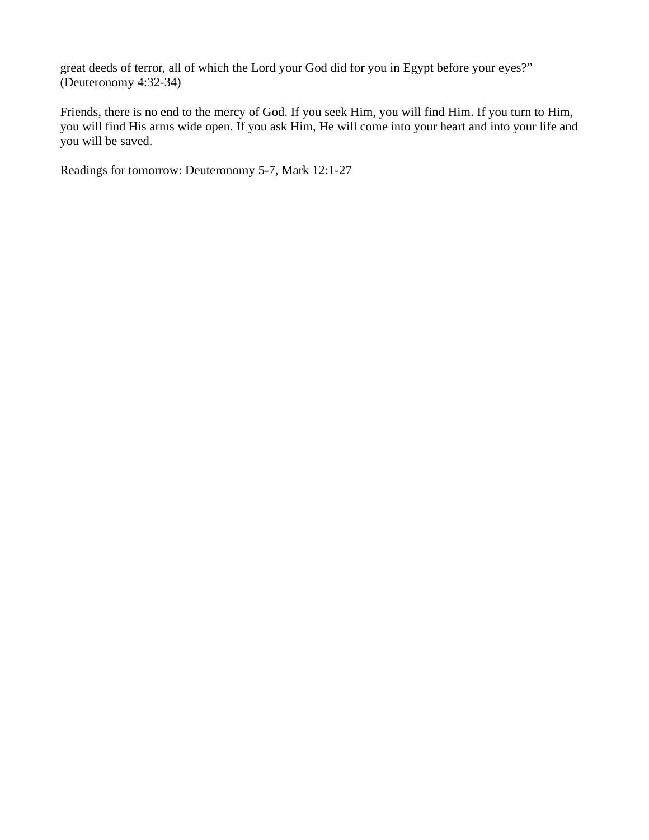great deeds of terror, all of which the Lord your God did for you in Egypt before your eyes?" (Deuteronomy 4:32-34)

Friends, there is no end to the mercy of God. If you seek Him, you will find Him. If you turn to Him, you will find His arms wide open. If you ask Him, He will come into your heart and into your life and you will be saved.

Readings for tomorrow: Deuteronomy 5-7, Mark 12:1-27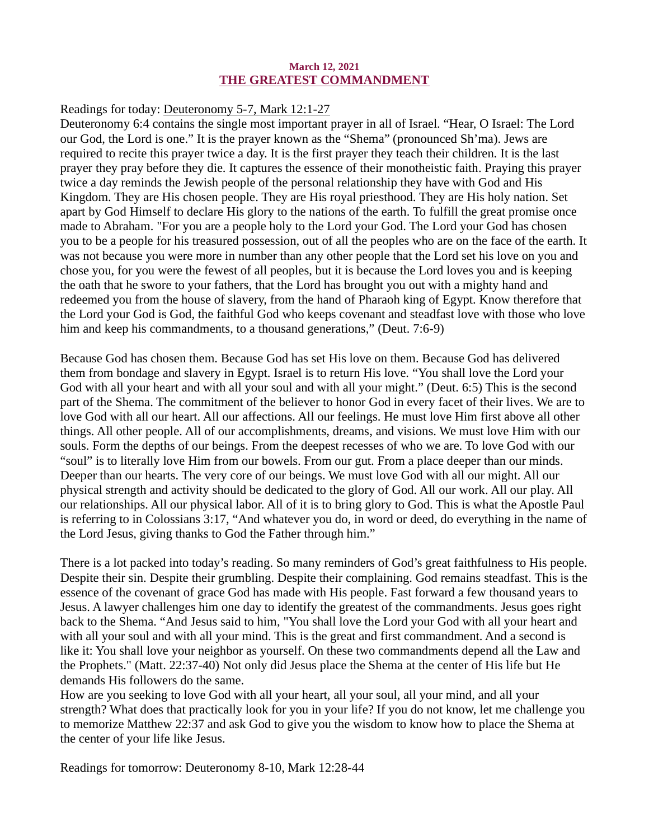#### March 12, 2021 THE GREATEST COMMANDMENT

#### <span id="page-20-0"></span>Readings for toda[y: Deuteronomy 5-7, Mark 12:1-27](https://www.biblegateway.com/passage/?search=Deuteronomy+5-7%2C+Mark+12%3A1-27&version=ESV)

Deuteronomy 6:4 contains the single most important prayer in all of Israel. "Hear, O Israel: The Lord our God, the Lord is one." It is the prayer known as the "Shema" (pronounced Sh'ma). Jews are required to recite this prayer twice a day. It is the first prayer they teach their children. It is the last prayer they pray before they die. It captures the essence of their monotheistic faith. Praying this prayer twice a day reminds the Jewish people of the personal relationship they have with God and His Kingdom. They are His chosen people. They are His royal priesthood. They are His holy nation. Set apart by God Himself to declare His glory to the nations of the earth. To fulfill the great promise once made to Abraham. "For you are a people holy to the Lord your God. The Lord your God has chosen you to be a people for his treasured possession, out of all the peoples who are on the face of the earth. It was not because you were more in number than any other people that the Lord set his love on you and chose you, for you were the fewest of all peoples, but it is because the Lord loves you and is keeping the oath that he swore to your fathers, that the Lord has brought you out with a mighty hand and redeemed you from the house of slavery, from the hand of Pharaoh king of Egypt. Know therefore that the Lord your God is God, the faithful God who keeps covenant and steadfast love with those who love him and keep his commandments, to a thousand generations," (Deut. 7:6-9)

Because God has chosen them. Because God has set His love on them. Because God has delivered them from bondage and slavery in Egypt. Israel is to return His love. "You shall love the Lord your God with all your heart and with all your soul and with all your might." (Deut. 6:5) This is the second part of the Shema. The commitment of the believer to honor God in every facet of their lives. We are to love God with all our heart. All our affections. All our feelings. He must love Him first above all other things. All other people. All of our accomplishments, dreams, and visions. We must love Him with our souls. Form the depths of our beings. From the deepest recesses of who we are. To love God with our "soul" is to literally love Him from our bowels. From our gut. From a place deeper than our minds. Deeper than our hearts. The very core of our beings. We must love God with all our might. All our physical strength and activity should be dedicated to the glory of God. All our work. All our play. All our relationships. All our physical labor. All of it is to bring glory to God. This is what the Apostle Paul is referring to in Colossians 3:17, "And whatever you do, in word or deed, do everything in the name of the Lord Jesus, giving thanks to God the Father through him."

There is a lot packed into today's reading. So many reminders of God's great faithfulness to His people. Despite their sin. Despite their grumbling. Despite their complaining. God remains steadfast. This is the essence of the covenant of grace God has made with His people. Fast forward a few thousand years to Jesus. A lawyer challenges him one day to identify the greatest of the commandments. Jesus goes right back to the Shema. "And Jesus said to him, "You shall love the Lord your God with all your heart and with all your soul and with all your mind. This is the great and first commandment. And a second is like it: You shall love your neighbor as yourself. On these two commandments depend all the Law and the Prophets." (Matt. 22:37-40) Not only did Jesus place the Shema at the center of His life but He demands His followers do the same.

How are you seeking to love God with all your heart, all your soul, all your mind, and all your strength? What does that practically look for you in your life? If you do not know, let me challenge you to memorize Matthew 22:37 and ask God to give you the wisdom to know how to place the Shema at the center of your life like Jesus.

Readings for tomorrow: Deuteronomy 8-10, Mark 12:28-44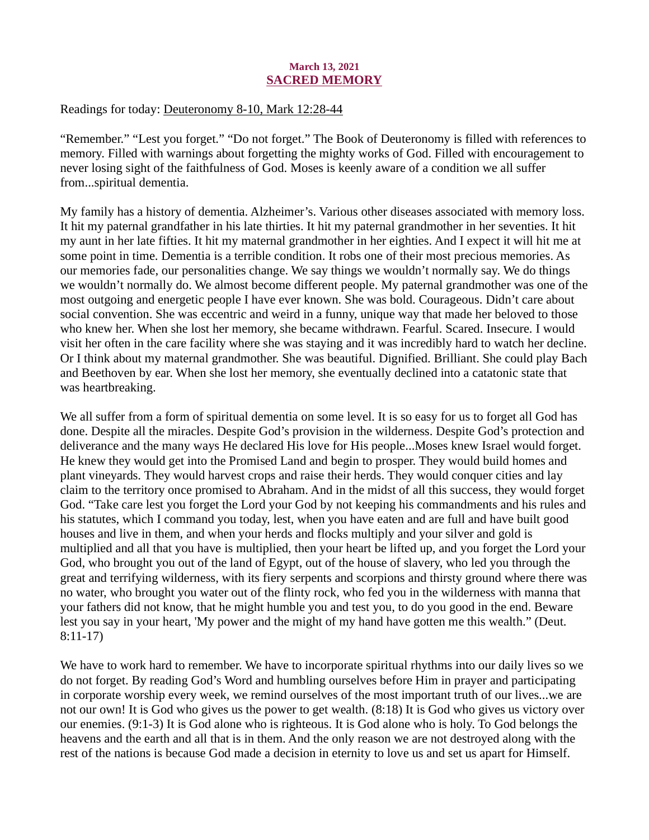## March 13, 2021 SACRED MEMORY

## <span id="page-21-0"></span>Readings for toda[y: Deuteronomy 8-10, Mark 12:28-44](https://www.biblegateway.com/passage/?search=Deuteronomy+8-10%2C+Mark+12%3A28-44&version=ESV)

"Remember." "Lest you forget." "Do not forget." The Book of Deuteronomy is filled with references to memory. Filled with warnings about forgetting the mighty works of God. Filled with encouragement to never losing sight of the faithfulness of God. Moses is keenly aware of a condition we all suffer from...spiritual dementia.

My family has a history of dementia. Alzheimer's. Various other diseases associated with memory loss. It hit my paternal grandfather in his late thirties. It hit my paternal grandmother in her seventies. It hit my aunt in her late fifties. It hit my maternal grandmother in her eighties. And I expect it will hit me at some point in time. Dementia is a terrible condition. It robs one of their most precious memories. As our memories fade, our personalities change. We say things we wouldn't normally say. We do things we wouldn't normally do. We almost become different people. My paternal grandmother was one of the most outgoing and energetic people I have ever known. She was bold. Courageous. Didn't care about social convention. She was eccentric and weird in a funny, unique way that made her beloved to those who knew her. When she lost her memory, she became withdrawn. Fearful. Scared. Insecure. I would visit her often in the care facility where she was staying and it was incredibly hard to watch her decline. Or I think about my maternal grandmother. She was beautiful. Dignified. Brilliant. She could play Bach and Beethoven by ear. When she lost her memory, she eventually declined into a catatonic state that was heartbreaking.

We all suffer from a form of spiritual dementia on some level. It is so easy for us to forget all God has done. Despite all the miracles. Despite God's provision in the wilderness. Despite God's protection and deliverance and the many ways He declared His love for His people...Moses knew Israel would forget. He knew they would get into the Promised Land and begin to prosper. They would build homes and plant vineyards. They would harvest crops and raise their herds. They would conquer cities and lay claim to the territory once promised to Abraham. And in the midst of all this success, they would forget God. "Take care lest you forget the Lord your God by not keeping his commandments and his rules and his statutes, which I command you today, lest, when you have eaten and are full and have built good houses and live in them, and when your herds and flocks multiply and your silver and gold is multiplied and all that you have is multiplied, then your heart be lifted up, and you forget the Lord your God, who brought you out of the land of Egypt, out of the house of slavery, who led you through the great and terrifying wilderness, with its fiery serpents and scorpions and thirsty ground where there was no water, who brought you water out of the flinty rock, who fed you in the wilderness with manna that your fathers did not know, that he might humble you and test you, to do you good in the end. Beware lest you say in your heart, 'My power and the might of my hand have gotten me this wealth." (Deut. 8:11-17)

We have to work hard to remember. We have to incorporate spiritual rhythms into our daily lives so we do not forget. By reading God's Word and humbling ourselves before Him in prayer and participating in corporate worship every week, we remind ourselves of the most important truth of our lives...we are not our own! It is God who gives us the power to get wealth. (8:18) It is God who gives us victory over our enemies. (9:1-3) It is God alone who is righteous. It is God alone who is holy. To God belongs the heavens and the earth and all that is in them. And the only reason we are not destroyed along with the rest of the nations is because God made a decision in eternity to love us and set us apart for Himself.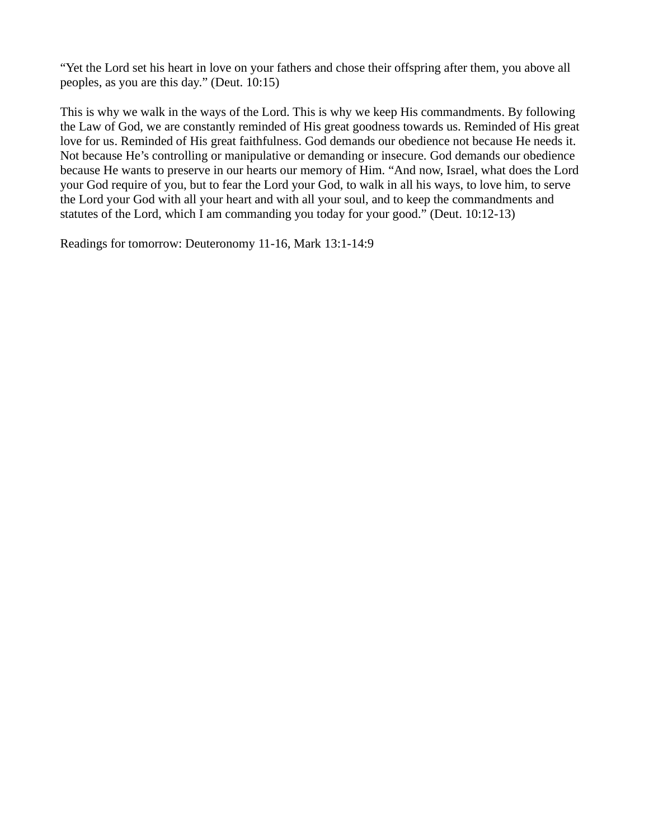"Yet the Lord set his heart in love on your fathers and chose their offspring after them, you above all peoples, as you are this day." (Deut. 10:15)

This is why we walk in the ways of the Lord. This is why we keep His commandments. By following the Law of God, we are constantly reminded of His great goodness towards us. Reminded of His great love for us. Reminded of His great faithfulness. God demands our obedience not because He needs it. Not because He's controlling or manipulative or demanding or insecure. God demands our obedience because He wants to preserve in our hearts our memory of Him. "And now, Israel, what does the Lord your God require of you, but to fear the Lord your God, to walk in all his ways, to love him, to serve the Lord your God with all your heart and with all your soul, and to keep the commandments and statutes of the Lord, which I am commanding you today for your good." (Deut. 10:12-13)

Readings for tomorrow: Deuteronomy 11-16, Mark 13:1-14:9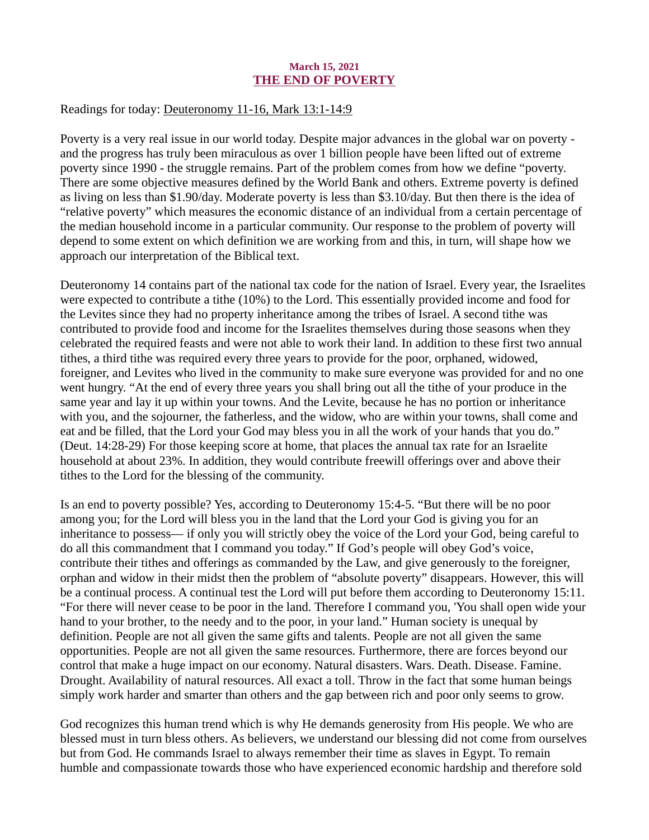## March 15, 2021 THE END OF POVERTY

## <span id="page-23-0"></span>Readings for today: [Deuteronomy 11-16, Mark 13:1-14:9](https://www.biblegateway.com/passage/?search=Deuteronomy+11-16%2C+Mark+13%3A1-14%3A9&version=ESV)

Poverty is a very real issue in our world today. Despite major advances in the global war on poverty and the progress has truly been miraculous as over 1 billion people have been lifted out of extreme poverty since 1990 - the struggle remains. Part of the problem comes from how we define "poverty. There are some objective measures defined by the World Bank and others. Extreme poverty is defined as living on less than \$1.90/day. Moderate poverty is less than \$3.10/day. But then there is the idea of "relative poverty" which measures the economic distance of an individual from a certain percentage of the median household income in a particular community. Our response to the problem of poverty will depend to some extent on which definition we are working from and this, in turn, will shape how we approach our interpretation of the Biblical text.

Deuteronomy 14 contains part of the national tax code for the nation of Israel. Every year, the Israelites were expected to contribute a tithe (10%) to the Lord. This essentially provided income and food for the Levites since they had no property inheritance among the tribes of Israel. A second tithe was contributed to provide food and income for the Israelites themselves during those seasons when they celebrated the required feasts and were not able to work their land. In addition to these first two annual tithes, a third tithe was required every three years to provide for the poor, orphaned, widowed, foreigner, and Levites who lived in the community to make sure everyone was provided for and no one went hungry. "At the end of every three years you shall bring out all the tithe of your produce in the same year and lay it up within your towns. And the Levite, because he has no portion or inheritance with you, and the sojourner, the fatherless, and the widow, who are within your towns, shall come and eat and be filled, that the Lord your God may bless you in all the work of your hands that you do." (Deut. 14:28-29) For those keeping score at home, that places the annual tax rate for an Israelite household at about 23%. In addition, they would contribute freewill offerings over and above their tithes to the Lord for the blessing of the community.

Is an end to poverty possible? Yes, according to Deuteronomy 15:4-5. "But there will be no poor among you; for the Lord will bless you in the land that the Lord your God is giving you for an inheritance to possess— if only you will strictly obey the voice of the Lord your God, being careful to do all this commandment that I command you today." If God's people will obey God's voice, contribute their tithes and offerings as commanded by the Law, and give generously to the foreigner, orphan and widow in their midst then the problem of "absolute poverty" disappears. However, this will be a continual process. A continual test the Lord will put before them according to Deuteronomy 15:11. "For there will never cease to be poor in the land. Therefore I command you, 'You shall open wide your hand to your brother, to the needy and to the poor, in your land." Human society is unequal by definition. People are not all given the same gifts and talents. People are not all given the same opportunities. People are not all given the same resources. Furthermore, there are forces beyond our control that make a huge impact on our economy. Natural disasters. Wars. Death. Disease. Famine. Drought. Availability of natural resources. All exact a toll. Throw in the fact that some human beings simply work harder and smarter than others and the gap between rich and poor only seems to grow.

God recognizes this human trend which is why He demands generosity from His people. We who are blessed must in turn bless others. As believers, we understand our blessing did not come from ourselves but from God. He commands Israel to always remember their time as slaves in Egypt. To remain humble and compassionate towards those who have experienced economic hardship and therefore sold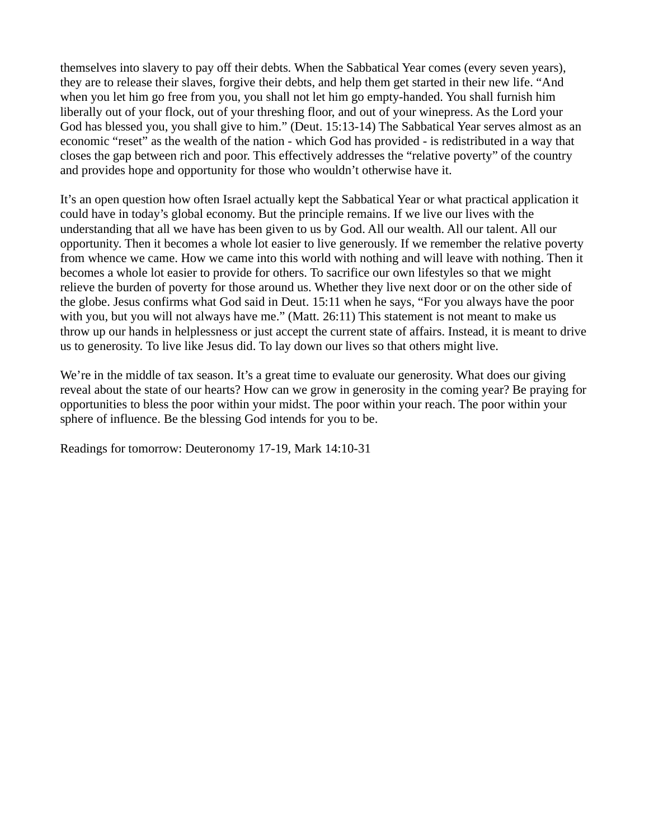themselves into slavery to pay off their debts. When the Sabbatical Year comes (every seven years), they are to release their slaves, forgive their debts, and help them get started in their new life. "And when you let him go free from you, you shall not let him go empty-handed. You shall furnish him liberally out of your flock, out of your threshing floor, and out of your winepress. As the Lord your God has blessed you, you shall give to him." (Deut. 15:13-14) The Sabbatical Year serves almost as an economic "reset" as the wealth of the nation - which God has provided - is redistributed in a way that closes the gap between rich and poor. This effectively addresses the "relative poverty" of the country and provides hope and opportunity for those who wouldn't otherwise have it.

It's an open question how often Israel actually kept the Sabbatical Year or what practical application it could have in today's global economy. But the principle remains. If we live our lives with the understanding that all we have has been given to us by God. All our wealth. All our talent. All our opportunity. Then it becomes a whole lot easier to live generously. If we remember the relative poverty from whence we came. How we came into this world with nothing and will leave with nothing. Then it becomes a whole lot easier to provide for others. To sacrifice our own lifestyles so that we might relieve the burden of poverty for those around us. Whether they live next door or on the other side of the globe. Jesus confirms what God said in Deut. 15:11 when he says, "For you always have the poor with you, but you will not always have me." (Matt. 26:11) This statement is not meant to make us throw up our hands in helplessness or just accept the current state of affairs. Instead, it is meant to drive us to generosity. To live like Jesus did. To lay down our lives so that others might live.

We're in the middle of tax season. It's a great time to evaluate our generosity. What does our giving reveal about the state of our hearts? How can we grow in generosity in the coming year? Be praying for opportunities to bless the poor within your midst. The poor within your reach. The poor within your sphere of influence. Be the blessing God intends for you to be.

Readings for tomorrow: Deuteronomy 17-19, Mark 14:10-31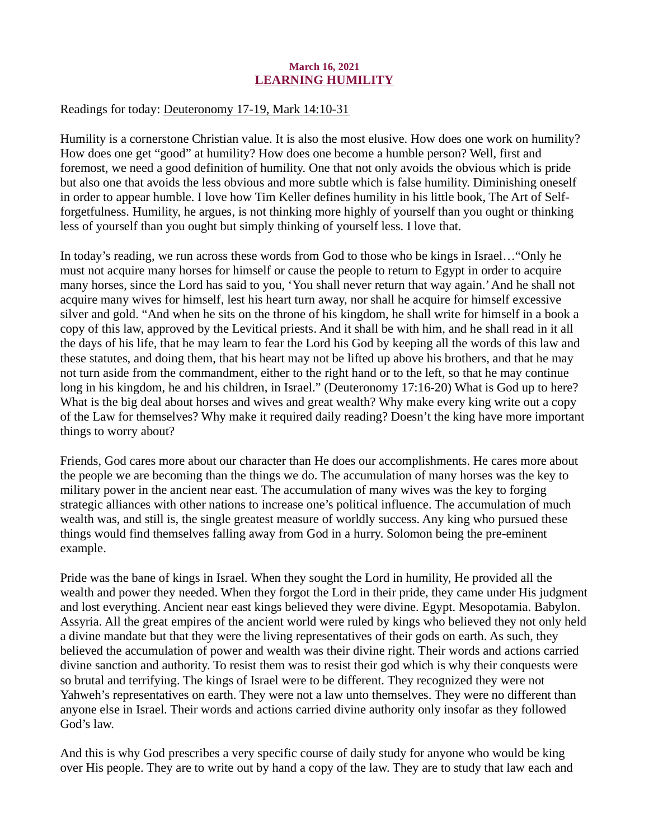## March 16, 2021 LEARNING HUMILITY

## <span id="page-25-0"></span>Readings for today: [Deuteronomy 17-19, Mark 14:10-31](https://www.biblegateway.com/passage/?search=Deuteronomy+17-19%2C+Mark+14%3A10-31&version=ESV)

Humility is a cornerstone Christian value. It is also the most elusive. How does one work on humility? How does one get "good" at humility? How does one become a humble person? Well, first and foremost, we need a good definition of humility. One that not only avoids the obvious which is pride but also one that avoids the less obvious and more subtle which is false humility. Diminishing oneself in order to appear humble. I love how Tim Keller defines humility in his little book, The Art of Selfforgetfulness. Humility, he argues, is not thinking more highly of yourself than you ought or thinking less of yourself than you ought but simply thinking of yourself less. I love that.

In today's reading, we run across these words from God to those who be kings in Israel…"Only he must not acquire many horses for himself or cause the people to return to Egypt in order to acquire many horses, since the Lord has said to you, 'You shall never return that way again.' And he shall not acquire many wives for himself, lest his heart turn away, nor shall he acquire for himself excessive silver and gold. "And when he sits on the throne of his kingdom, he shall write for himself in a book a copy of this law, approved by the Levitical priests. And it shall be with him, and he shall read in it all the days of his life, that he may learn to fear the Lord his God by keeping all the words of this law and these statutes, and doing them, that his heart may not be lifted up above his brothers, and that he may not turn aside from the commandment, either to the right hand or to the left, so that he may continue long in his kingdom, he and his children, in Israel." (Deuteronomy 17:16-20) What is God up to here? What is the big deal about horses and wives and great wealth? Why make every king write out a copy of the Law for themselves? Why make it required daily reading? Doesn't the king have more important things to worry about?

Friends, God cares more about our character than He does our accomplishments. He cares more about the people we are becoming than the things we do. The accumulation of many horses was the key to military power in the ancient near east. The accumulation of many wives was the key to forging strategic alliances with other nations to increase one's political influence. The accumulation of much wealth was, and still is, the single greatest measure of worldly success. Any king who pursued these things would find themselves falling away from God in a hurry. Solomon being the pre-eminent example.

Pride was the bane of kings in Israel. When they sought the Lord in humility, He provided all the wealth and power they needed. When they forgot the Lord in their pride, they came under His judgment and lost everything. Ancient near east kings believed they were divine. Egypt. Mesopotamia. Babylon. Assyria. All the great empires of the ancient world were ruled by kings who believed they not only held a divine mandate but that they were the living representatives of their gods on earth. As such, they believed the accumulation of power and wealth was their divine right. Their words and actions carried divine sanction and authority. To resist them was to resist their god which is why their conquests were so brutal and terrifying. The kings of Israel were to be different. They recognized they were not Yahweh's representatives on earth. They were not a law unto themselves. They were no different than anyone else in Israel. Their words and actions carried divine authority only insofar as they followed God's law.

And this is why God prescribes a very specific course of daily study for anyone who would be king over His people. They are to write out by hand a copy of the law. They are to study that law each and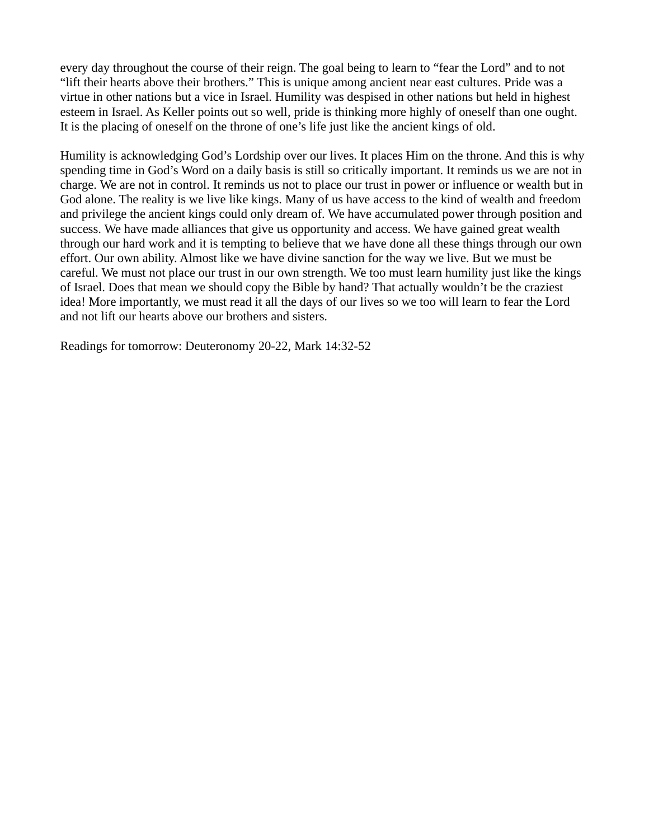every day throughout the course of their reign. The goal being to learn to "fear the Lord" and to not "lift their hearts above their brothers." This is unique among ancient near east cultures. Pride was a virtue in other nations but a vice in Israel. Humility was despised in other nations but held in highest esteem in Israel. As Keller points out so well, pride is thinking more highly of oneself than one ought. It is the placing of oneself on the throne of one's life just like the ancient kings of old.

Humility is acknowledging God's Lordship over our lives. It places Him on the throne. And this is why spending time in God's Word on a daily basis is still so critically important. It reminds us we are not in charge. We are not in control. It reminds us not to place our trust in power or influence or wealth but in God alone. The reality is we live like kings. Many of us have access to the kind of wealth and freedom and privilege the ancient kings could only dream of. We have accumulated power through position and success. We have made alliances that give us opportunity and access. We have gained great wealth through our hard work and it is tempting to believe that we have done all these things through our own effort. Our own ability. Almost like we have divine sanction for the way we live. But we must be careful. We must not place our trust in our own strength. We too must learn humility just like the kings of Israel. Does that mean we should copy the Bible by hand? That actually wouldn't be the craziest idea! More importantly, we must read it all the days of our lives so we too will learn to fear the Lord and not lift our hearts above our brothers and sisters.

Readings for tomorrow: Deuteronomy 20-22, Mark 14:32-52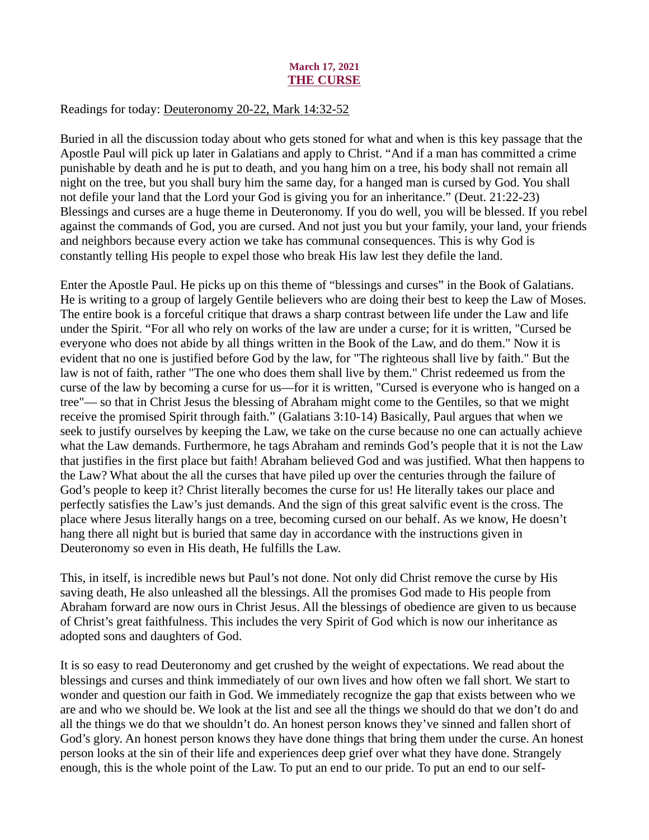## March 17, 2021 THE CURSE

## <span id="page-27-0"></span>Readings for today[: Deuteronomy 20-22, Mark 14:32-52](https://www.biblegateway.com/passage/?search=Deuteronomy+20-22%2C+Mark+14%3A32-52&version=ESV)

Buried in all the discussion today about who gets stoned for what and when is this key passage that the Apostle Paul will pick up later in Galatians and apply to Christ. "And if a man has committed a crime punishable by death and he is put to death, and you hang him on a tree, his body shall not remain all night on the tree, but you shall bury him the same day, for a hanged man is cursed by God. You shall not defile your land that the Lord your God is giving you for an inheritance." (Deut. 21:22-23) Blessings and curses are a huge theme in Deuteronomy. If you do well, you will be blessed. If you rebel against the commands of God, you are cursed. And not just you but your family, your land, your friends and neighbors because every action we take has communal consequences. This is why God is constantly telling His people to expel those who break His law lest they defile the land.

Enter the Apostle Paul. He picks up on this theme of "blessings and curses" in the Book of Galatians. He is writing to a group of largely Gentile believers who are doing their best to keep the Law of Moses. The entire book is a forceful critique that draws a sharp contrast between life under the Law and life under the Spirit. "For all who rely on works of the law are under a curse; for it is written, "Cursed be everyone who does not abide by all things written in the Book of the Law, and do them." Now it is evident that no one is justified before God by the law, for "The righteous shall live by faith." But the law is not of faith, rather "The one who does them shall live by them." Christ redeemed us from the curse of the law by becoming a curse for us—for it is written, "Cursed is everyone who is hanged on a tree"— so that in Christ Jesus the blessing of Abraham might come to the Gentiles, so that we might receive the promised Spirit through faith." (Galatians 3:10-14) Basically, Paul argues that when we seek to justify ourselves by keeping the Law, we take on the curse because no one can actually achieve what the Law demands. Furthermore, he tags Abraham and reminds God's people that it is not the Law that justifies in the first place but faith! Abraham believed God and was justified. What then happens to the Law? What about the all the curses that have piled up over the centuries through the failure of God's people to keep it? Christ literally becomes the curse for us! He literally takes our place and perfectly satisfies the Law's just demands. And the sign of this great salvific event is the cross. The place where Jesus literally hangs on a tree, becoming cursed on our behalf. As we know, He doesn't hang there all night but is buried that same day in accordance with the instructions given in Deuteronomy so even in His death, He fulfills the Law.

This, in itself, is incredible news but Paul's not done. Not only did Christ remove the curse by His saving death, He also unleashed all the blessings. All the promises God made to His people from Abraham forward are now ours in Christ Jesus. All the blessings of obedience are given to us because of Christ's great faithfulness. This includes the very Spirit of God which is now our inheritance as adopted sons and daughters of God.

It is so easy to read Deuteronomy and get crushed by the weight of expectations. We read about the blessings and curses and think immediately of our own lives and how often we fall short. We start to wonder and question our faith in God. We immediately recognize the gap that exists between who we are and who we should be. We look at the list and see all the things we should do that we don't do and all the things we do that we shouldn't do. An honest person knows they've sinned and fallen short of God's glory. An honest person knows they have done things that bring them under the curse. An honest person looks at the sin of their life and experiences deep grief over what they have done. Strangely enough, this is the whole point of the Law. To put an end to our pride. To put an end to our self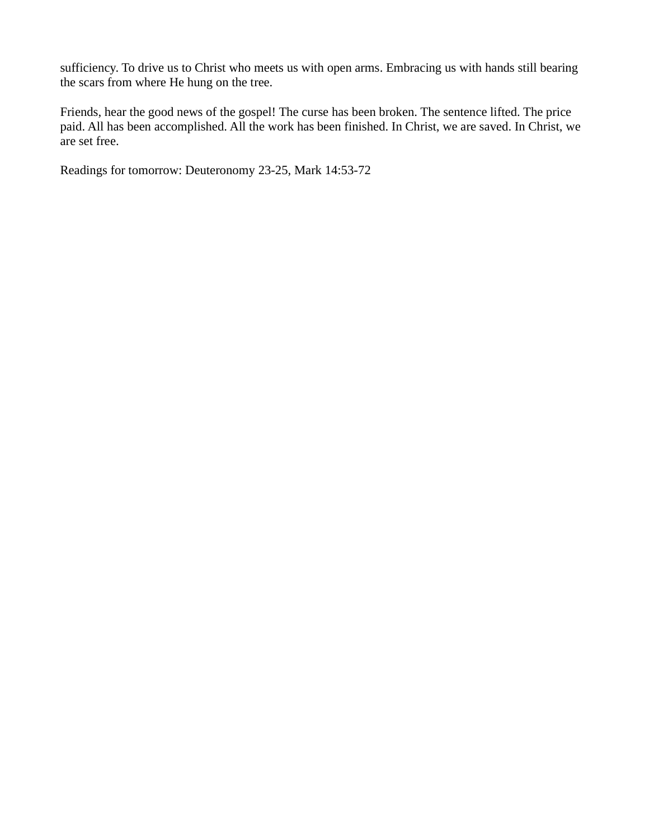sufficiency. To drive us to Christ who meets us with open arms. Embracing us with hands still bearing the scars from where He hung on the tree.

Friends, hear the good news of the gospel! The curse has been broken. The sentence lifted. The price paid. All has been accomplished. All the work has been finished. In Christ, we are saved. In Christ, we are set free.

Readings for tomorrow: Deuteronomy 23-25, Mark 14:53-72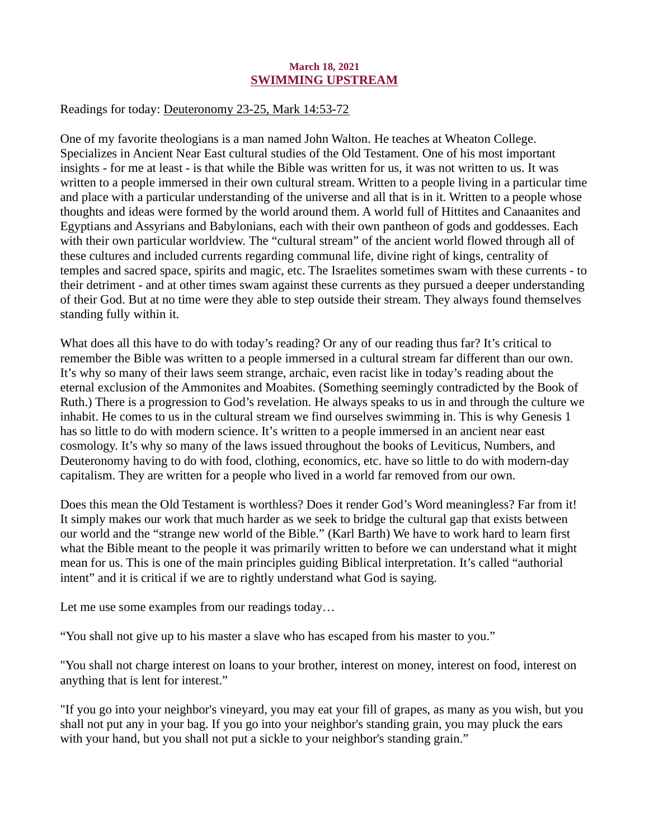## March 18, 2021 SWIMMING UPSTREAM

## <span id="page-29-0"></span>Readings for today[: Deuteronomy 23-25, Mark 14:53-72](https://www.biblegateway.com/passage/?search=Deuteronomy+23-25%2C+Mark+14%3A53-72&version=ESV)

One of my favorite theologians is a man named John Walton. He teaches at Wheaton College. Specializes in Ancient Near East cultural studies of the Old Testament. One of his most important insights - for me at least - is that while the Bible was written for us, it was not written to us. It was written to a people immersed in their own cultural stream. Written to a people living in a particular time and place with a particular understanding of the universe and all that is in it. Written to a people whose thoughts and ideas were formed by the world around them. A world full of Hittites and Canaanites and Egyptians and Assyrians and Babylonians, each with their own pantheon of gods and goddesses. Each with their own particular worldview. The "cultural stream" of the ancient world flowed through all of these cultures and included currents regarding communal life, divine right of kings, centrality of temples and sacred space, spirits and magic, etc. The Israelites sometimes swam with these currents - to their detriment - and at other times swam against these currents as they pursued a deeper understanding of their God. But at no time were they able to step outside their stream. They always found themselves standing fully within it.

What does all this have to do with today's reading? Or any of our reading thus far? It's critical to remember the Bible was written to a people immersed in a cultural stream far different than our own. It's why so many of their laws seem strange, archaic, even racist like in today's reading about the eternal exclusion of the Ammonites and Moabites. (Something seemingly contradicted by the Book of Ruth.) There is a progression to God's revelation. He always speaks to us in and through the culture we inhabit. He comes to us in the cultural stream we find ourselves swimming in. This is why Genesis 1 has so little to do with modern science. It's written to a people immersed in an ancient near east cosmology. It's why so many of the laws issued throughout the books of Leviticus, Numbers, and Deuteronomy having to do with food, clothing, economics, etc. have so little to do with modern-day capitalism. They are written for a people who lived in a world far removed from our own.

Does this mean the Old Testament is worthless? Does it render God's Word meaningless? Far from it! It simply makes our work that much harder as we seek to bridge the cultural gap that exists between our world and the "strange new world of the Bible." (Karl Barth) We have to work hard to learn first what the Bible meant to the people it was primarily written to before we can understand what it might mean for us. This is one of the main principles guiding Biblical interpretation. It's called "authorial intent" and it is critical if we are to rightly understand what God is saying.

Let me use some examples from our readings today…

"You shall not give up to his master a slave who has escaped from his master to you."

"You shall not charge interest on loans to your brother, interest on money, interest on food, interest on anything that is lent for interest."

"If you go into your neighbor's vineyard, you may eat your fill of grapes, as many as you wish, but you shall not put any in your bag. If you go into your neighbor's standing grain, you may pluck the ears with your hand, but you shall not put a sickle to your neighbor's standing grain."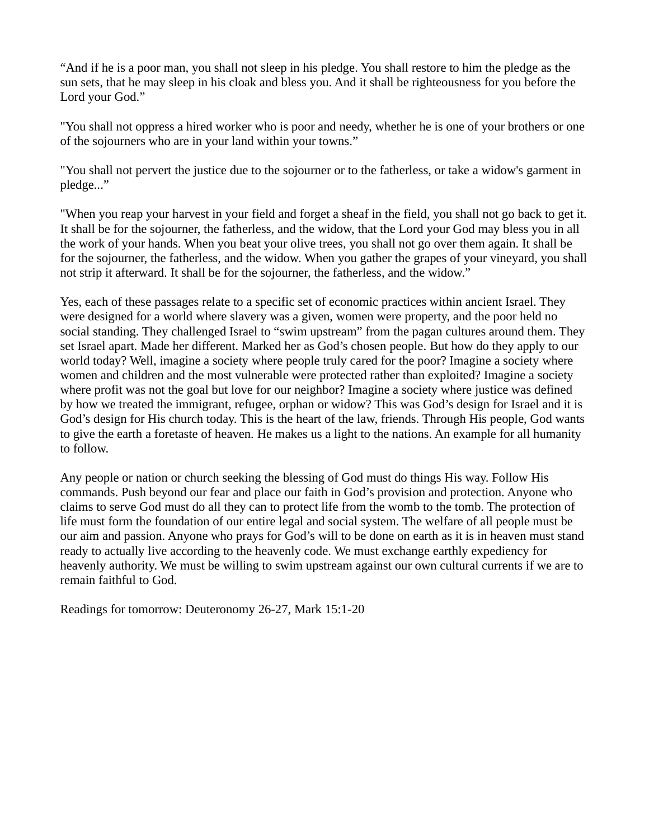"And if he is a poor man, you shall not sleep in his pledge. You shall restore to him the pledge as the sun sets, that he may sleep in his cloak and bless you. And it shall be righteousness for you before the Lord your God."

"You shall not oppress a hired worker who is poor and needy, whether he is one of your brothers or one of the sojourners who are in your land within your towns."

"You shall not pervert the justice due to the sojourner or to the fatherless, or take a widow's garment in pledge..."

"When you reap your harvest in your field and forget a sheaf in the field, you shall not go back to get it. It shall be for the sojourner, the fatherless, and the widow, that the Lord your God may bless you in all the work of your hands. When you beat your olive trees, you shall not go over them again. It shall be for the sojourner, the fatherless, and the widow. When you gather the grapes of your vineyard, you shall not strip it afterward. It shall be for the sojourner, the fatherless, and the widow."

Yes, each of these passages relate to a specific set of economic practices within ancient Israel. They were designed for a world where slavery was a given, women were property, and the poor held no social standing. They challenged Israel to "swim upstream" from the pagan cultures around them. They set Israel apart. Made her different. Marked her as God's chosen people. But how do they apply to our world today? Well, imagine a society where people truly cared for the poor? Imagine a society where women and children and the most vulnerable were protected rather than exploited? Imagine a society where profit was not the goal but love for our neighbor? Imagine a society where justice was defined by how we treated the immigrant, refugee, orphan or widow? This was God's design for Israel and it is God's design for His church today. This is the heart of the law, friends. Through His people, God wants to give the earth a foretaste of heaven. He makes us a light to the nations. An example for all humanity to follow.

Any people or nation or church seeking the blessing of God must do things His way. Follow His commands. Push beyond our fear and place our faith in God's provision and protection. Anyone who claims to serve God must do all they can to protect life from the womb to the tomb. The protection of life must form the foundation of our entire legal and social system. The welfare of all people must be our aim and passion. Anyone who prays for God's will to be done on earth as it is in heaven must stand ready to actually live according to the heavenly code. We must exchange earthly expediency for heavenly authority. We must be willing to swim upstream against our own cultural currents if we are to remain faithful to God.

Readings for tomorrow: Deuteronomy 26-27, Mark 15:1-20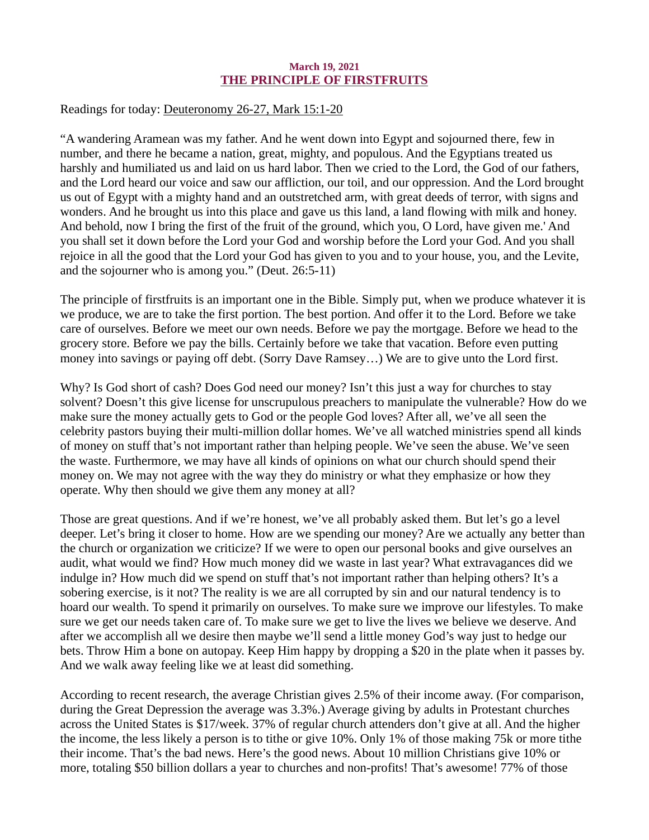## March 19, 2021 THE PRINCIPLE OF FIRSTFRUITS

## <span id="page-31-0"></span>Readings for today[: Deuteronomy 26-27, Mark 15:1-20](https://www.biblegateway.com/passage/?search=Deuteronomy+26-27%2C+Mark+15%3A1-20&version=ESV)

"A wandering Aramean was my father. And he went down into Egypt and sojourned there, few in number, and there he became a nation, great, mighty, and populous. And the Egyptians treated us harshly and humiliated us and laid on us hard labor. Then we cried to the Lord, the God of our fathers, and the Lord heard our voice and saw our affliction, our toil, and our oppression. And the Lord brought us out of Egypt with a mighty hand and an outstretched arm, with great deeds of terror, with signs and wonders. And he brought us into this place and gave us this land, a land flowing with milk and honey. And behold, now I bring the first of the fruit of the ground, which you, O Lord, have given me.' And you shall set it down before the Lord your God and worship before the Lord your God. And you shall rejoice in all the good that the Lord your God has given to you and to your house, you, and the Levite, and the sojourner who is among you." (Deut. 26:5-11)

The principle of firstfruits is an important one in the Bible. Simply put, when we produce whatever it is we produce, we are to take the first portion. The best portion. And offer it to the Lord. Before we take care of ourselves. Before we meet our own needs. Before we pay the mortgage. Before we head to the grocery store. Before we pay the bills. Certainly before we take that vacation. Before even putting money into savings or paying off debt. (Sorry Dave Ramsey…) We are to give unto the Lord first.

Why? Is God short of cash? Does God need our money? Isn't this just a way for churches to stay solvent? Doesn't this give license for unscrupulous preachers to manipulate the vulnerable? How do we make sure the money actually gets to God or the people God loves? After all, we've all seen the celebrity pastors buying their multi-million dollar homes. We've all watched ministries spend all kinds of money on stuff that's not important rather than helping people. We've seen the abuse. We've seen the waste. Furthermore, we may have all kinds of opinions on what our church should spend their money on. We may not agree with the way they do ministry or what they emphasize or how they operate. Why then should we give them any money at all?

Those are great questions. And if we're honest, we've all probably asked them. But let's go a level deeper. Let's bring it closer to home. How are we spending our money? Are we actually any better than the church or organization we criticize? If we were to open our personal books and give ourselves an audit, what would we find? How much money did we waste in last year? What extravagances did we indulge in? How much did we spend on stuff that's not important rather than helping others? It's a sobering exercise, is it not? The reality is we are all corrupted by sin and our natural tendency is to hoard our wealth. To spend it primarily on ourselves. To make sure we improve our lifestyles. To make sure we get our needs taken care of. To make sure we get to live the lives we believe we deserve. And after we accomplish all we desire then maybe we'll send a little money God's way just to hedge our bets. Throw Him a bone on autopay. Keep Him happy by dropping a \$20 in the plate when it passes by. And we walk away feeling like we at least did something.

According to recent research, the average Christian gives 2.5% of their income away. (For comparison, during the Great Depression the average was 3.3%.) Average giving by adults in Protestant churches across the United States is \$17/week. 37% of regular church attenders don't give at all. And the higher the income, the less likely a person is to tithe or give 10%. Only 1% of those making 75k or more tithe their income. That's the bad news. Here's the good news. About 10 million Christians give 10% or more, totaling \$50 billion dollars a year to churches and non-profits! That's awesome! 77% of those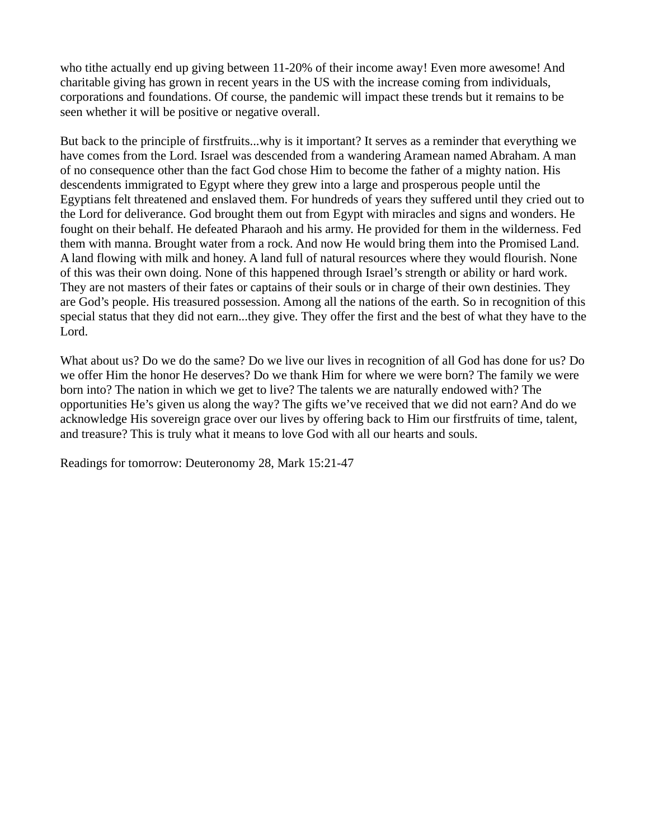who tithe actually end up giving between 11-20% of their income away! Even more awesome! And charitable giving has grown in recent years in the US with the increase coming from individuals, corporations and foundations. Of course, the pandemic will impact these trends but it remains to be seen whether it will be positive or negative overall.

But back to the principle of firstfruits...why is it important? It serves as a reminder that everything we have comes from the Lord. Israel was descended from a wandering Aramean named Abraham. A man of no consequence other than the fact God chose Him to become the father of a mighty nation. His descendents immigrated to Egypt where they grew into a large and prosperous people until the Egyptians felt threatened and enslaved them. For hundreds of years they suffered until they cried out to the Lord for deliverance. God brought them out from Egypt with miracles and signs and wonders. He fought on their behalf. He defeated Pharaoh and his army. He provided for them in the wilderness. Fed them with manna. Brought water from a rock. And now He would bring them into the Promised Land. A land flowing with milk and honey. A land full of natural resources where they would flourish. None of this was their own doing. None of this happened through Israel's strength or ability or hard work. They are not masters of their fates or captains of their souls or in charge of their own destinies. They are God's people. His treasured possession. Among all the nations of the earth. So in recognition of this special status that they did not earn...they give. They offer the first and the best of what they have to the Lord.

What about us? Do we do the same? Do we live our lives in recognition of all God has done for us? Do we offer Him the honor He deserves? Do we thank Him for where we were born? The family we were born into? The nation in which we get to live? The talents we are naturally endowed with? The opportunities He's given us along the way? The gifts we've received that we did not earn? And do we acknowledge His sovereign grace over our lives by offering back to Him our firstfruits of time, talent, and treasure? This is truly what it means to love God with all our hearts and souls.

Readings for tomorrow: Deuteronomy 28, Mark 15:21-47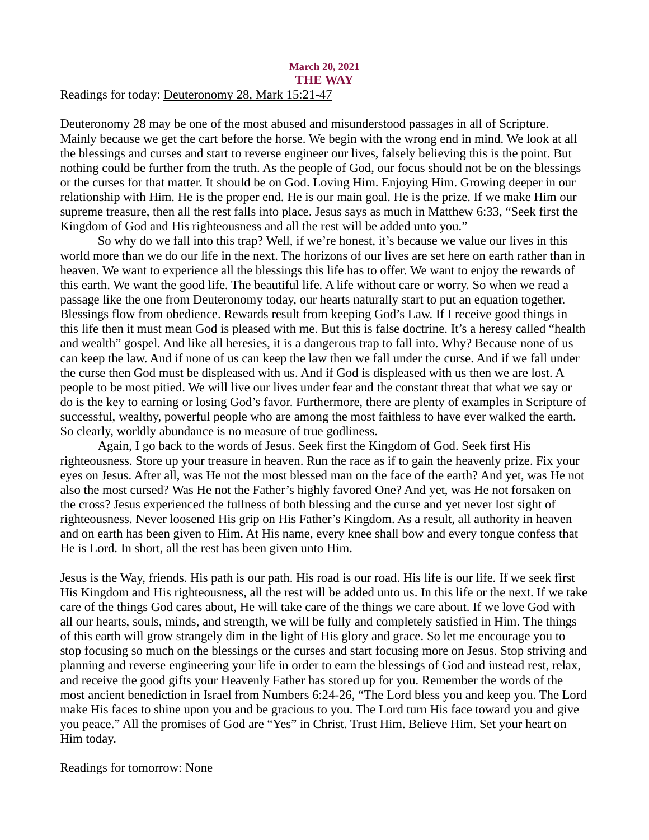#### <span id="page-33-0"></span>March 20, 2021 THE WAY Readings for today[: Deuteronomy 28, Mark 15:21-47](https://www.biblegateway.com/passage/?search=Deuteronomy+28%2C+Mark+15%3A21-47&version=ESV)

Deuteronomy 28 may be one of the most abused and misunderstood passages in all of Scripture. Mainly because we get the cart before the horse. We begin with the wrong end in mind. We look at all the blessings and curses and start to reverse engineer our lives, falsely believing this is the point. But nothing could be further from the truth. As the people of God, our focus should not be on the blessings or the curses for that matter. It should be on God. Loving Him. Enjoying Him. Growing deeper in our relationship with Him. He is the proper end. He is our main goal. He is the prize. If we make Him our supreme treasure, then all the rest falls into place. Jesus says as much in Matthew 6:33, "Seek first the Kingdom of God and His righteousness and all the rest will be added unto you."

So why do we fall into this trap? Well, if we're honest, it's because we value our lives in this world more than we do our life in the next. The horizons of our lives are set here on earth rather than in heaven. We want to experience all the blessings this life has to offer. We want to enjoy the rewards of this earth. We want the good life. The beautiful life. A life without care or worry. So when we read a passage like the one from Deuteronomy today, our hearts naturally start to put an equation together. Blessings flow from obedience. Rewards result from keeping God's Law. If I receive good things in this life then it must mean God is pleased with me. But this is false doctrine. It's a heresy called "health and wealth" gospel. And like all heresies, it is a dangerous trap to fall into. Why? Because none of us can keep the law. And if none of us can keep the law then we fall under the curse. And if we fall under the curse then God must be displeased with us. And if God is displeased with us then we are lost. A people to be most pitied. We will live our lives under fear and the constant threat that what we say or do is the key to earning or losing God's favor. Furthermore, there are plenty of examples in Scripture of successful, wealthy, powerful people who are among the most faithless to have ever walked the earth. So clearly, worldly abundance is no measure of true godliness.

Again, I go back to the words of Jesus. Seek first the Kingdom of God. Seek first His righteousness. Store up your treasure in heaven. Run the race as if to gain the heavenly prize. Fix your eyes on Jesus. After all, was He not the most blessed man on the face of the earth? And yet, was He not also the most cursed? Was He not the Father's highly favored One? And yet, was He not forsaken on the cross? Jesus experienced the fullness of both blessing and the curse and yet never lost sight of righteousness. Never loosened His grip on His Father's Kingdom. As a result, all authority in heaven and on earth has been given to Him. At His name, every knee shall bow and every tongue confess that He is Lord. In short, all the rest has been given unto Him.

Jesus is the Way, friends. His path is our path. His road is our road. His life is our life. If we seek first His Kingdom and His righteousness, all the rest will be added unto us. In this life or the next. If we take care of the things God cares about, He will take care of the things we care about. If we love God with all our hearts, souls, minds, and strength, we will be fully and completely satisfied in Him. The things of this earth will grow strangely dim in the light of His glory and grace. So let me encourage you to stop focusing so much on the blessings or the curses and start focusing more on Jesus. Stop striving and planning and reverse engineering your life in order to earn the blessings of God and instead rest, relax, and receive the good gifts your Heavenly Father has stored up for you. Remember the words of the most ancient benediction in Israel from Numbers 6:24-26, "The Lord bless you and keep you. The Lord make His faces to shine upon you and be gracious to you. The Lord turn His face toward you and give you peace." All the promises of God are "Yes" in Christ. Trust Him. Believe Him. Set your heart on Him today.

Readings for tomorrow: None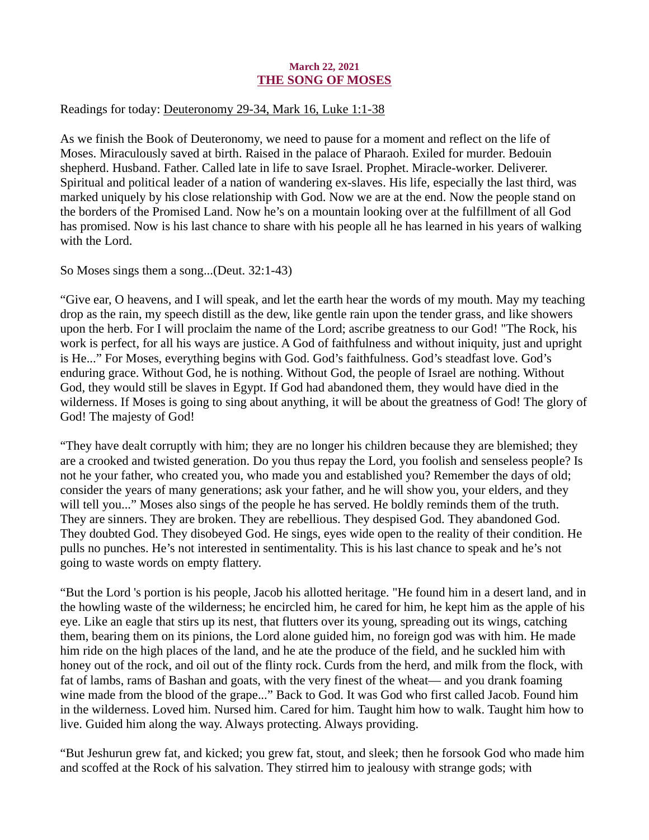## March 22, 2021 THE SONG OF MOSES

## <span id="page-34-0"></span>Readings for today: [Deuteronomy 29-34, Mark 16, Luke 1:1-38](https://www.biblegateway.com/passage/?search=Deuteronomy+29-34%2C+Mark+16%2C+Luke+1%3A1-38&version=ESV)

As we finish the Book of Deuteronomy, we need to pause for a moment and reflect on the life of Moses. Miraculously saved at birth. Raised in the palace of Pharaoh. Exiled for murder. Bedouin shepherd. Husband. Father. Called late in life to save Israel. Prophet. Miracle-worker. Deliverer. Spiritual and political leader of a nation of wandering ex-slaves. His life, especially the last third, was marked uniquely by his close relationship with God. Now we are at the end. Now the people stand on the borders of the Promised Land. Now he's on a mountain looking over at the fulfillment of all God has promised. Now is his last chance to share with his people all he has learned in his years of walking with the Lord.

So Moses sings them a song...(Deut. 32:1-43)

"Give ear, O heavens, and I will speak, and let the earth hear the words of my mouth. May my teaching drop as the rain, my speech distill as the dew, like gentle rain upon the tender grass, and like showers upon the herb. For I will proclaim the name of the Lord; ascribe greatness to our God! "The Rock, his work is perfect, for all his ways are justice. A God of faithfulness and without iniquity, just and upright is He..." For Moses, everything begins with God. God's faithfulness. God's steadfast love. God's enduring grace. Without God, he is nothing. Without God, the people of Israel are nothing. Without God, they would still be slaves in Egypt. If God had abandoned them, they would have died in the wilderness. If Moses is going to sing about anything, it will be about the greatness of God! The glory of God! The majesty of God!

"They have dealt corruptly with him; they are no longer his children because they are blemished; they are a crooked and twisted generation. Do you thus repay the Lord, you foolish and senseless people? Is not he your father, who created you, who made you and established you? Remember the days of old; consider the years of many generations; ask your father, and he will show you, your elders, and they will tell you..." Moses also sings of the people he has served. He boldly reminds them of the truth. They are sinners. They are broken. They are rebellious. They despised God. They abandoned God. They doubted God. They disobeyed God. He sings, eyes wide open to the reality of their condition. He pulls no punches. He's not interested in sentimentality. This is his last chance to speak and he's not going to waste words on empty flattery.

"But the Lord 's portion is his people, Jacob his allotted heritage. "He found him in a desert land, and in the howling waste of the wilderness; he encircled him, he cared for him, he kept him as the apple of his eye. Like an eagle that stirs up its nest, that flutters over its young, spreading out its wings, catching them, bearing them on its pinions, the Lord alone guided him, no foreign god was with him. He made him ride on the high places of the land, and he ate the produce of the field, and he suckled him with honey out of the rock, and oil out of the flinty rock. Curds from the herd, and milk from the flock, with fat of lambs, rams of Bashan and goats, with the very finest of the wheat— and you drank foaming wine made from the blood of the grape..." Back to God. It was God who first called Jacob. Found him in the wilderness. Loved him. Nursed him. Cared for him. Taught him how to walk. Taught him how to live. Guided him along the way. Always protecting. Always providing.

"But Jeshurun grew fat, and kicked; you grew fat, stout, and sleek; then he forsook God who made him and scoffed at the Rock of his salvation. They stirred him to jealousy with strange gods; with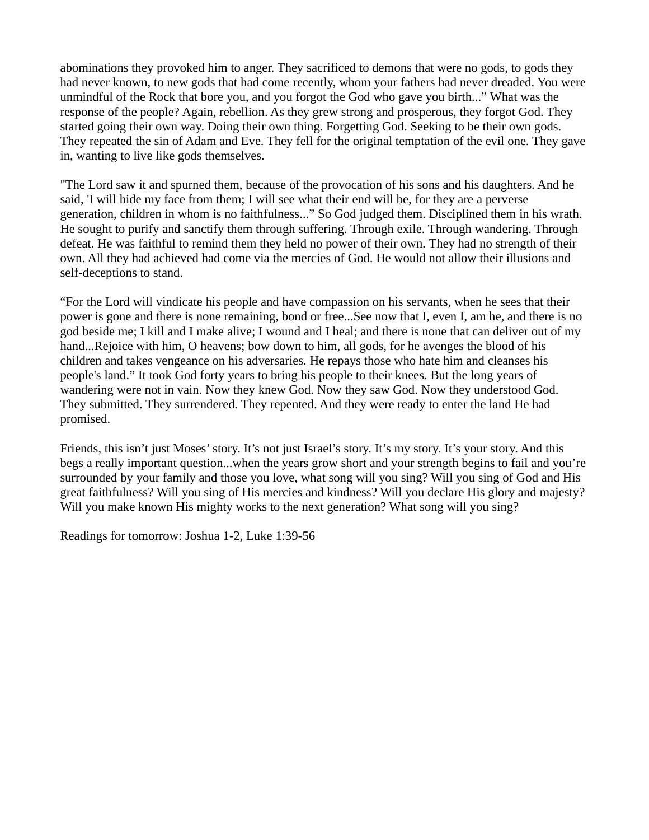abominations they provoked him to anger. They sacrificed to demons that were no gods, to gods they had never known, to new gods that had come recently, whom your fathers had never dreaded. You were unmindful of the Rock that bore you, and you forgot the God who gave you birth..." What was the response of the people? Again, rebellion. As they grew strong and prosperous, they forgot God. They started going their own way. Doing their own thing. Forgetting God. Seeking to be their own gods. They repeated the sin of Adam and Eve. They fell for the original temptation of the evil one. They gave in, wanting to live like gods themselves.

"The Lord saw it and spurned them, because of the provocation of his sons and his daughters. And he said, 'I will hide my face from them; I will see what their end will be, for they are a perverse generation, children in whom is no faithfulness..." So God judged them. Disciplined them in his wrath. He sought to purify and sanctify them through suffering. Through exile. Through wandering. Through defeat. He was faithful to remind them they held no power of their own. They had no strength of their own. All they had achieved had come via the mercies of God. He would not allow their illusions and self-deceptions to stand.

"For the Lord will vindicate his people and have compassion on his servants, when he sees that their power is gone and there is none remaining, bond or free...See now that I, even I, am he, and there is no god beside me; I kill and I make alive; I wound and I heal; and there is none that can deliver out of my hand...Rejoice with him, O heavens; bow down to him, all gods, for he avenges the blood of his children and takes vengeance on his adversaries. He repays those who hate him and cleanses his people's land." It took God forty years to bring his people to their knees. But the long years of wandering were not in vain. Now they knew God. Now they saw God. Now they understood God. They submitted. They surrendered. They repented. And they were ready to enter the land He had promised.

Friends, this isn't just Moses' story. It's not just Israel's story. It's my story. It's your story. And this begs a really important question...when the years grow short and your strength begins to fail and you're surrounded by your family and those you love, what song will you sing? Will you sing of God and His great faithfulness? Will you sing of His mercies and kindness? Will you declare His glory and majesty? Will you make known His mighty works to the next generation? What song will you sing?

Readings for tomorrow: Joshua 1-2, Luke 1:39-56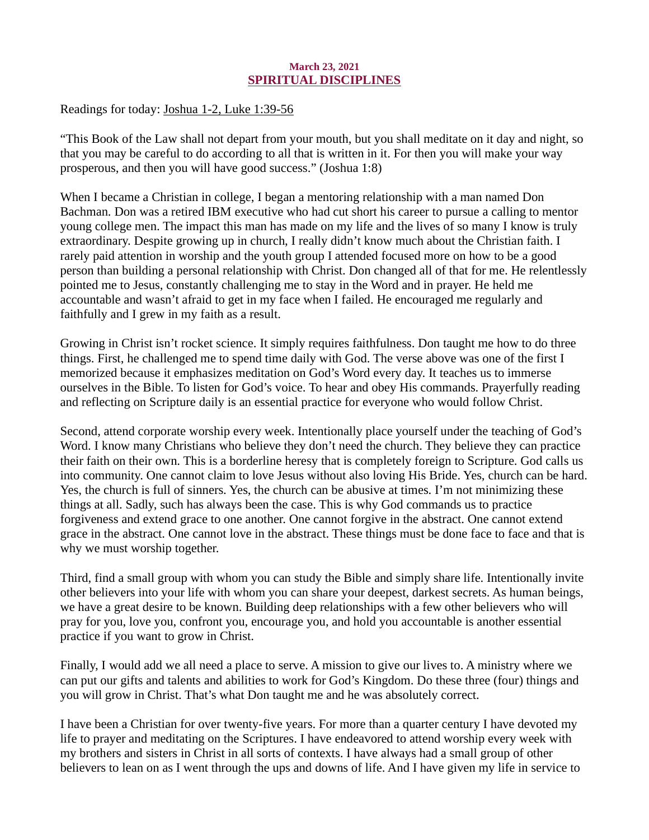# March 23, 2021 SPIRITUAL DISCIPLINES

<span id="page-36-0"></span>Readings for today: [Joshua 1-2, Luke 1:39-56](https://www.biblegateway.com/passage/?search=Joshua+1-2%2C+Luke+1%3A39-56&version=ESV)

"This Book of the Law shall not depart from your mouth, but you shall meditate on it day and night, so that you may be careful to do according to all that is written in it. For then you will make your way prosperous, and then you will have good success." (Joshua 1:8)

When I became a Christian in college, I began a mentoring relationship with a man named Don Bachman. Don was a retired IBM executive who had cut short his career to pursue a calling to mentor young college men. The impact this man has made on my life and the lives of so many I know is truly extraordinary. Despite growing up in church, I really didn't know much about the Christian faith. I rarely paid attention in worship and the youth group I attended focused more on how to be a good person than building a personal relationship with Christ. Don changed all of that for me. He relentlessly pointed me to Jesus, constantly challenging me to stay in the Word and in prayer. He held me accountable and wasn't afraid to get in my face when I failed. He encouraged me regularly and faithfully and I grew in my faith as a result.

Growing in Christ isn't rocket science. It simply requires faithfulness. Don taught me how to do three things. First, he challenged me to spend time daily with God. The verse above was one of the first I memorized because it emphasizes meditation on God's Word every day. It teaches us to immerse ourselves in the Bible. To listen for God's voice. To hear and obey His commands. Prayerfully reading and reflecting on Scripture daily is an essential practice for everyone who would follow Christ.

Second, attend corporate worship every week. Intentionally place yourself under the teaching of God's Word. I know many Christians who believe they don't need the church. They believe they can practice their faith on their own. This is a borderline heresy that is completely foreign to Scripture. God calls us into community. One cannot claim to love Jesus without also loving His Bride. Yes, church can be hard. Yes, the church is full of sinners. Yes, the church can be abusive at times. I'm not minimizing these things at all. Sadly, such has always been the case. This is why God commands us to practice forgiveness and extend grace to one another. One cannot forgive in the abstract. One cannot extend grace in the abstract. One cannot love in the abstract. These things must be done face to face and that is why we must worship together.

Third, find a small group with whom you can study the Bible and simply share life. Intentionally invite other believers into your life with whom you can share your deepest, darkest secrets. As human beings, we have a great desire to be known. Building deep relationships with a few other believers who will pray for you, love you, confront you, encourage you, and hold you accountable is another essential practice if you want to grow in Christ.

Finally, I would add we all need a place to serve. A mission to give our lives to. A ministry where we can put our gifts and talents and abilities to work for God's Kingdom. Do these three (four) things and you will grow in Christ. That's what Don taught me and he was absolutely correct.

I have been a Christian for over twenty-five years. For more than a quarter century I have devoted my life to prayer and meditating on the Scriptures. I have endeavored to attend worship every week with my brothers and sisters in Christ in all sorts of contexts. I have always had a small group of other believers to lean on as I went through the ups and downs of life. And I have given my life in service to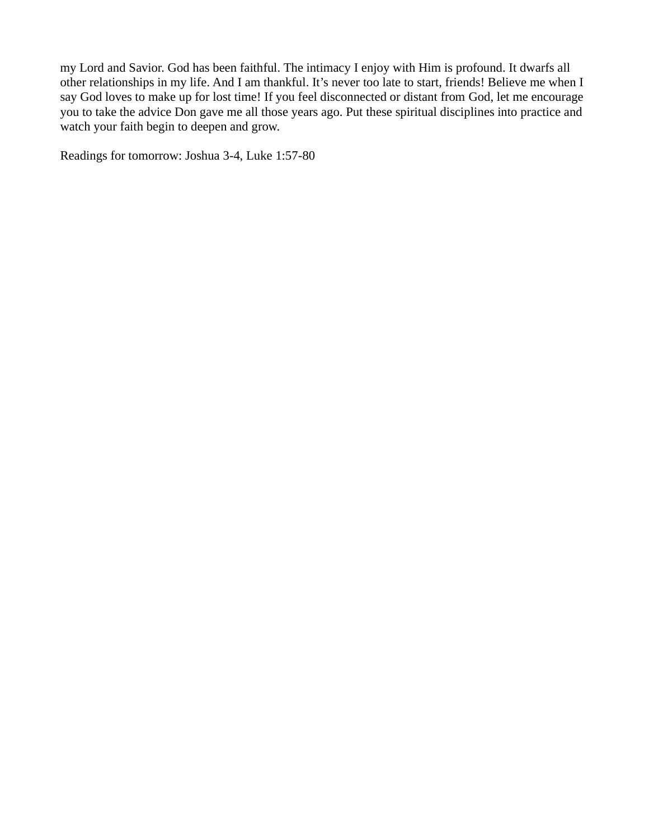my Lord and Savior. God has been faithful. The intimacy I enjoy with Him is profound. It dwarfs all other relationships in my life. And I am thankful. It's never too late to start, friends! Believe me when I say God loves to make up for lost time! If you feel disconnected or distant from God, let me encourage you to take the advice Don gave me all those years ago. Put these spiritual disciplines into practice and watch your faith begin to deepen and grow.

Readings for tomorrow: Joshua 3-4, Luke 1:57-80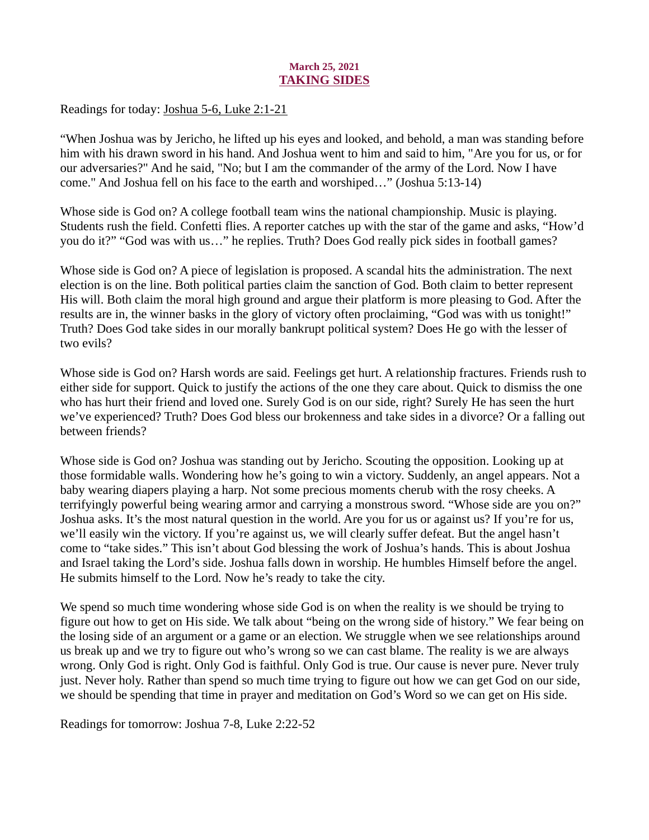## March 25, 2021 TAKING SIDES

<span id="page-38-0"></span>Readings for today: [Joshua 5-6, Luke 2:1-21](https://www.biblegateway.com/passage/?search=Joshua+5-6%2C+Luke+2%3A1-21&version=ESV)

"When Joshua was by Jericho, he lifted up his eyes and looked, and behold, a man was standing before him with his drawn sword in his hand. And Joshua went to him and said to him, "Are you for us, or for our adversaries?" And he said, "No; but I am the commander of the army of the Lord. Now I have come." And Joshua fell on his face to the earth and worshiped…" (Joshua 5:13-14)

Whose side is God on? A college football team wins the national championship. Music is playing. Students rush the field. Confetti flies. A reporter catches up with the star of the game and asks, "How'd you do it?" "God was with us…" he replies. Truth? Does God really pick sides in football games?

Whose side is God on? A piece of legislation is proposed. A scandal hits the administration. The next election is on the line. Both political parties claim the sanction of God. Both claim to better represent His will. Both claim the moral high ground and argue their platform is more pleasing to God. After the results are in, the winner basks in the glory of victory often proclaiming, "God was with us tonight!" Truth? Does God take sides in our morally bankrupt political system? Does He go with the lesser of two evils?

Whose side is God on? Harsh words are said. Feelings get hurt. A relationship fractures. Friends rush to either side for support. Quick to justify the actions of the one they care about. Quick to dismiss the one who has hurt their friend and loved one. Surely God is on our side, right? Surely He has seen the hurt we've experienced? Truth? Does God bless our brokenness and take sides in a divorce? Or a falling out between friends?

Whose side is God on? Joshua was standing out by Jericho. Scouting the opposition. Looking up at those formidable walls. Wondering how he's going to win a victory. Suddenly, an angel appears. Not a baby wearing diapers playing a harp. Not some precious moments cherub with the rosy cheeks. A terrifyingly powerful being wearing armor and carrying a monstrous sword. "Whose side are you on?" Joshua asks. It's the most natural question in the world. Are you for us or against us? If you're for us, we'll easily win the victory. If you're against us, we will clearly suffer defeat. But the angel hasn't come to "take sides." This isn't about God blessing the work of Joshua's hands. This is about Joshua and Israel taking the Lord's side. Joshua falls down in worship. He humbles Himself before the angel. He submits himself to the Lord. Now he's ready to take the city.

We spend so much time wondering whose side God is on when the reality is we should be trying to figure out how to get on His side. We talk about "being on the wrong side of history." We fear being on the losing side of an argument or a game or an election. We struggle when we see relationships around us break up and we try to figure out who's wrong so we can cast blame. The reality is we are always wrong. Only God is right. Only God is faithful. Only God is true. Our cause is never pure. Never truly just. Never holy. Rather than spend so much time trying to figure out how we can get God on our side, we should be spending that time in prayer and meditation on God's Word so we can get on His side.

Readings for tomorrow: Joshua 7-8, Luke 2:22-52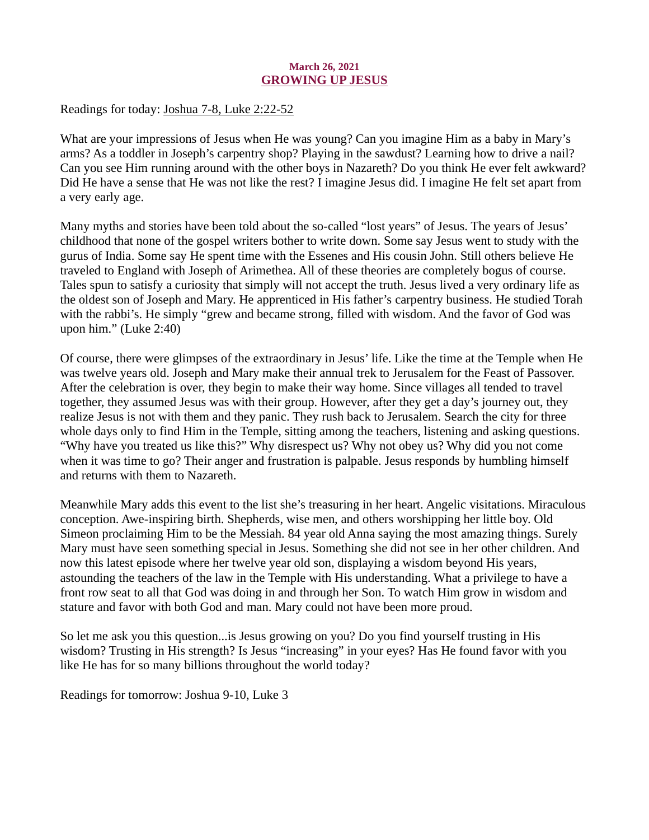# March 26, 2021 GROWING UP JESUS

<span id="page-39-0"></span>Readings for today[: Joshua 7-8, Luke 2:22-52](https://www.biblegateway.com/passage/?search=Joshua+7-8%2C+Luke+2%3A22-52&version=ESV)

What are your impressions of Jesus when He was young? Can you imagine Him as a baby in Mary's arms? As a toddler in Joseph's carpentry shop? Playing in the sawdust? Learning how to drive a nail? Can you see Him running around with the other boys in Nazareth? Do you think He ever felt awkward? Did He have a sense that He was not like the rest? I imagine Jesus did. I imagine He felt set apart from a very early age.

Many myths and stories have been told about the so-called "lost years" of Jesus. The years of Jesus' childhood that none of the gospel writers bother to write down. Some say Jesus went to study with the gurus of India. Some say He spent time with the Essenes and His cousin John. Still others believe He traveled to England with Joseph of Arimethea. All of these theories are completely bogus of course. Tales spun to satisfy a curiosity that simply will not accept the truth. Jesus lived a very ordinary life as the oldest son of Joseph and Mary. He apprenticed in His father's carpentry business. He studied Torah with the rabbi's. He simply "grew and became strong, filled with wisdom. And the favor of God was upon him." (Luke 2:40)

Of course, there were glimpses of the extraordinary in Jesus' life. Like the time at the Temple when He was twelve years old. Joseph and Mary make their annual trek to Jerusalem for the Feast of Passover. After the celebration is over, they begin to make their way home. Since villages all tended to travel together, they assumed Jesus was with their group. However, after they get a day's journey out, they realize Jesus is not with them and they panic. They rush back to Jerusalem. Search the city for three whole days only to find Him in the Temple, sitting among the teachers, listening and asking questions. "Why have you treated us like this?" Why disrespect us? Why not obey us? Why did you not come when it was time to go? Their anger and frustration is palpable. Jesus responds by humbling himself and returns with them to Nazareth.

Meanwhile Mary adds this event to the list she's treasuring in her heart. Angelic visitations. Miraculous conception. Awe-inspiring birth. Shepherds, wise men, and others worshipping her little boy. Old Simeon proclaiming Him to be the Messiah. 84 year old Anna saying the most amazing things. Surely Mary must have seen something special in Jesus. Something she did not see in her other children. And now this latest episode where her twelve year old son, displaying a wisdom beyond His years, astounding the teachers of the law in the Temple with His understanding. What a privilege to have a front row seat to all that God was doing in and through her Son. To watch Him grow in wisdom and stature and favor with both God and man. Mary could not have been more proud.

So let me ask you this question...is Jesus growing on you? Do you find yourself trusting in His wisdom? Trusting in His strength? Is Jesus "increasing" in your eyes? Has He found favor with you like He has for so many billions throughout the world today?

Readings for tomorrow: Joshua 9-10, Luke 3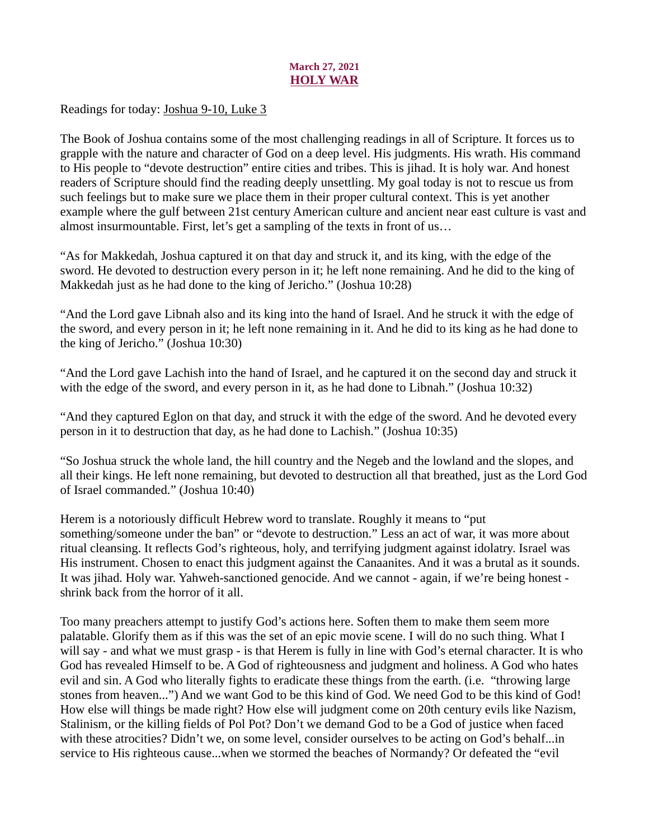# March 27, 2021 HOLY WAR

<span id="page-40-0"></span>Readings for today[: Joshua 9-10, Luke 3](https://www.biblegateway.com/passage/?search=Joshua+9-10%2C+Luke+3&version=ESV)

The Book of Joshua contains some of the most challenging readings in all of Scripture. It forces us to grapple with the nature and character of God on a deep level. His judgments. His wrath. His command to His people to "devote destruction" entire cities and tribes. This is jihad. It is holy war. And honest readers of Scripture should find the reading deeply unsettling. My goal today is not to rescue us from such feelings but to make sure we place them in their proper cultural context. This is yet another example where the gulf between 21st century American culture and ancient near east culture is vast and almost insurmountable. First, let's get a sampling of the texts in front of us…

"As for Makkedah, Joshua captured it on that day and struck it, and its king, with the edge of the sword. He devoted to destruction every person in it; he left none remaining. And he did to the king of Makkedah just as he had done to the king of Jericho." (Joshua 10:28)

"And the Lord gave Libnah also and its king into the hand of Israel. And he struck it with the edge of the sword, and every person in it; he left none remaining in it. And he did to its king as he had done to the king of Jericho." (Joshua 10:30)

"And the Lord gave Lachish into the hand of Israel, and he captured it on the second day and struck it with the edge of the sword, and every person in it, as he had done to Libnah." (Joshua 10:32)

"And they captured Eglon on that day, and struck it with the edge of the sword. And he devoted every person in it to destruction that day, as he had done to Lachish." (Joshua 10:35)

"So Joshua struck the whole land, the hill country and the Negeb and the lowland and the slopes, and all their kings. He left none remaining, but devoted to destruction all that breathed, just as the Lord God of Israel commanded." (Joshua 10:40)

Herem is a notoriously difficult Hebrew word to translate. Roughly it means to "put something/someone under the ban" or "devote to destruction." Less an act of war, it was more about ritual cleansing. It reflects God's righteous, holy, and terrifying judgment against idolatry. Israel was His instrument. Chosen to enact this judgment against the Canaanites. And it was a brutal as it sounds. It was jihad. Holy war. Yahweh-sanctioned genocide. And we cannot - again, if we're being honest shrink back from the horror of it all.

Too many preachers attempt to justify God's actions here. Soften them to make them seem more palatable. Glorify them as if this was the set of an epic movie scene. I will do no such thing. What I will say - and what we must grasp - is that Herem is fully in line with God's eternal character. It is who God has revealed Himself to be. A God of righteousness and judgment and holiness. A God who hates evil and sin. A God who literally fights to eradicate these things from the earth. (i.e. "throwing large stones from heaven...") And we want God to be this kind of God. We need God to be this kind of God! How else will things be made right? How else will judgment come on 20th century evils like Nazism, Stalinism, or the killing fields of Pol Pot? Don't we demand God to be a God of justice when faced with these atrocities? Didn't we, on some level, consider ourselves to be acting on God's behalf...in service to His righteous cause...when we stormed the beaches of Normandy? Or defeated the "evil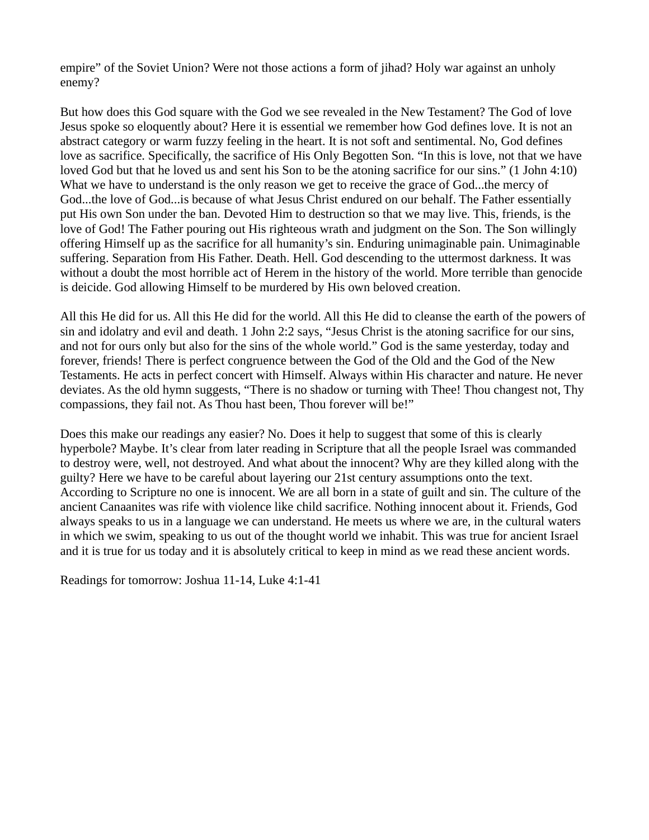empire" of the Soviet Union? Were not those actions a form of jihad? Holy war against an unholy enemy?

But how does this God square with the God we see revealed in the New Testament? The God of love Jesus spoke so eloquently about? Here it is essential we remember how God defines love. It is not an abstract category or warm fuzzy feeling in the heart. It is not soft and sentimental. No, God defines love as sacrifice. Specifically, the sacrifice of His Only Begotten Son. "In this is love, not that we have loved God but that he loved us and sent his Son to be the atoning sacrifice for our sins." (1 John 4:10) What we have to understand is the only reason we get to receive the grace of God...the mercy of God...the love of God...is because of what Jesus Christ endured on our behalf. The Father essentially put His own Son under the ban. Devoted Him to destruction so that we may live. This, friends, is the love of God! The Father pouring out His righteous wrath and judgment on the Son. The Son willingly offering Himself up as the sacrifice for all humanity's sin. Enduring unimaginable pain. Unimaginable suffering. Separation from His Father. Death. Hell. God descending to the uttermost darkness. It was without a doubt the most horrible act of Herem in the history of the world. More terrible than genocide is deicide. God allowing Himself to be murdered by His own beloved creation.

All this He did for us. All this He did for the world. All this He did to cleanse the earth of the powers of sin and idolatry and evil and death. 1 John 2:2 says, "Jesus Christ is the atoning sacrifice for our sins, and not for ours only but also for the sins of the whole world." God is the same yesterday, today and forever, friends! There is perfect congruence between the God of the Old and the God of the New Testaments. He acts in perfect concert with Himself. Always within His character and nature. He never deviates. As the old hymn suggests, "There is no shadow or turning with Thee! Thou changest not, Thy compassions, they fail not. As Thou hast been, Thou forever will be!"

Does this make our readings any easier? No. Does it help to suggest that some of this is clearly hyperbole? Maybe. It's clear from later reading in Scripture that all the people Israel was commanded to destroy were, well, not destroyed. And what about the innocent? Why are they killed along with the guilty? Here we have to be careful about layering our 21st century assumptions onto the text. According to Scripture no one is innocent. We are all born in a state of guilt and sin. The culture of the ancient Canaanites was rife with violence like child sacrifice. Nothing innocent about it. Friends, God always speaks to us in a language we can understand. He meets us where we are, in the cultural waters in which we swim, speaking to us out of the thought world we inhabit. This was true for ancient Israel and it is true for us today and it is absolutely critical to keep in mind as we read these ancient words.

Readings for tomorrow: Joshua 11-14, Luke 4:1-41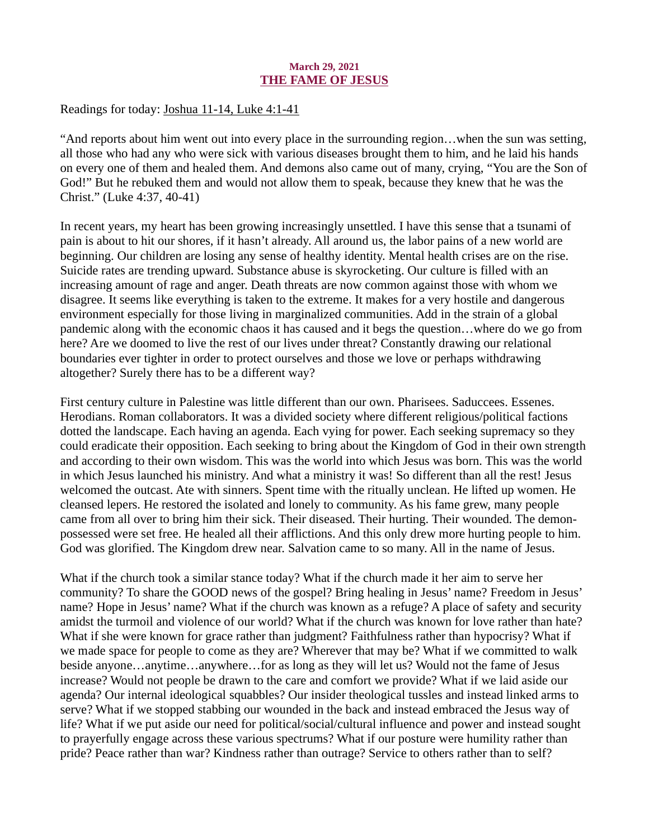## March 29, 2021 THE FAME OF JESUS

<span id="page-42-0"></span>Readings for today: [Joshua 11-14, Luke 4:1-41](https://www.biblegateway.com/passage/?search=Joshua+11-14%2C+Luke+4%3A1-41&version=ESV)

"And reports about him went out into every place in the surrounding region…when the sun was setting, all those who had any who were sick with various diseases brought them to him, and he laid his hands on every one of them and healed them. And demons also came out of many, crying, "You are the Son of God!" But he rebuked them and would not allow them to speak, because they knew that he was the Christ." (Luke 4:37, 40-41)

In recent years, my heart has been growing increasingly unsettled. I have this sense that a tsunami of pain is about to hit our shores, if it hasn't already. All around us, the labor pains of a new world are beginning. Our children are losing any sense of healthy identity. Mental health crises are on the rise. Suicide rates are trending upward. Substance abuse is skyrocketing. Our culture is filled with an increasing amount of rage and anger. Death threats are now common against those with whom we disagree. It seems like everything is taken to the extreme. It makes for a very hostile and dangerous environment especially for those living in marginalized communities. Add in the strain of a global pandemic along with the economic chaos it has caused and it begs the question…where do we go from here? Are we doomed to live the rest of our lives under threat? Constantly drawing our relational boundaries ever tighter in order to protect ourselves and those we love or perhaps withdrawing altogether? Surely there has to be a different way?

First century culture in Palestine was little different than our own. Pharisees. Saduccees. Essenes. Herodians. Roman collaborators. It was a divided society where different religious/political factions dotted the landscape. Each having an agenda. Each vying for power. Each seeking supremacy so they could eradicate their opposition. Each seeking to bring about the Kingdom of God in their own strength and according to their own wisdom. This was the world into which Jesus was born. This was the world in which Jesus launched his ministry. And what a ministry it was! So different than all the rest! Jesus welcomed the outcast. Ate with sinners. Spent time with the ritually unclean. He lifted up women. He cleansed lepers. He restored the isolated and lonely to community. As his fame grew, many people came from all over to bring him their sick. Their diseased. Their hurting. Their wounded. The demonpossessed were set free. He healed all their afflictions. And this only drew more hurting people to him. God was glorified. The Kingdom drew near. Salvation came to so many. All in the name of Jesus.

What if the church took a similar stance today? What if the church made it her aim to serve her community? To share the GOOD news of the gospel? Bring healing in Jesus' name? Freedom in Jesus' name? Hope in Jesus' name? What if the church was known as a refuge? A place of safety and security amidst the turmoil and violence of our world? What if the church was known for love rather than hate? What if she were known for grace rather than judgment? Faithfulness rather than hypocrisy? What if we made space for people to come as they are? Wherever that may be? What if we committed to walk beside anyone…anytime…anywhere…for as long as they will let us? Would not the fame of Jesus increase? Would not people be drawn to the care and comfort we provide? What if we laid aside our agenda? Our internal ideological squabbles? Our insider theological tussles and instead linked arms to serve? What if we stopped stabbing our wounded in the back and instead embraced the Jesus way of life? What if we put aside our need for political/social/cultural influence and power and instead sought to prayerfully engage across these various spectrums? What if our posture were humility rather than pride? Peace rather than war? Kindness rather than outrage? Service to others rather than to self?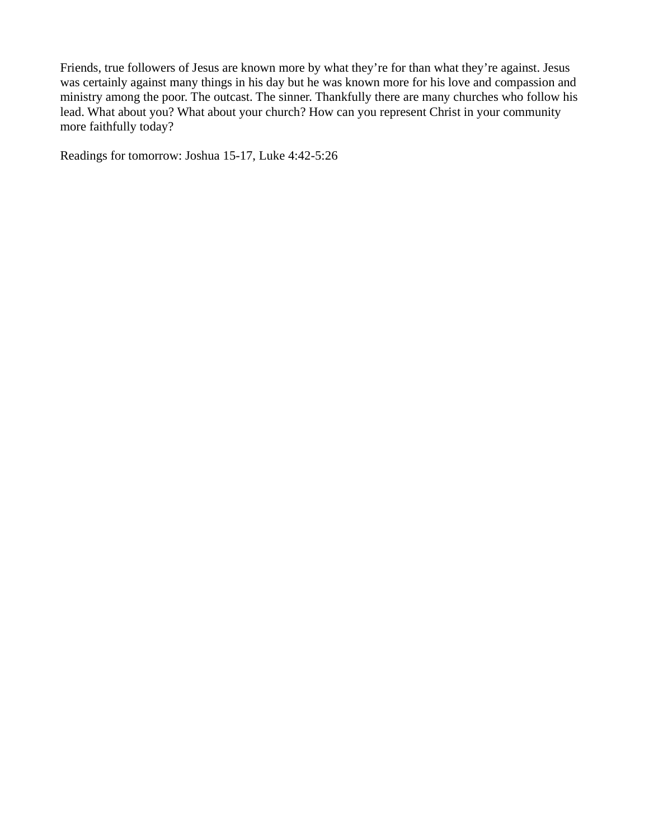Friends, true followers of Jesus are known more by what they're for than what they're against. Jesus was certainly against many things in his day but he was known more for his love and compassion and ministry among the poor. The outcast. The sinner. Thankfully there are many churches who follow his lead. What about you? What about your church? How can you represent Christ in your community more faithfully today?

Readings for tomorrow: Joshua 15-17, Luke 4:42-5:26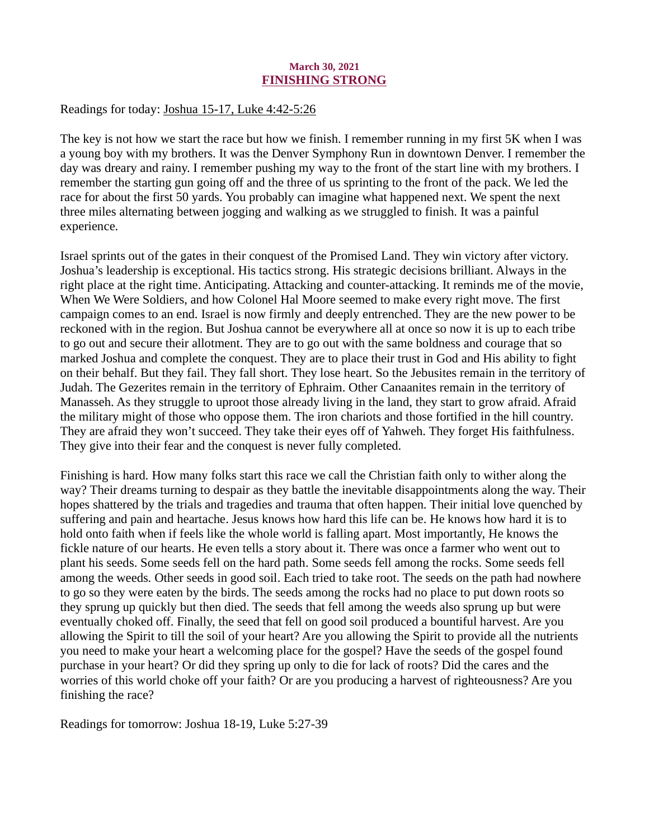## March 30, 2021 FINISHING STRONG

## <span id="page-44-0"></span>Readings for today: [Joshua 15-17, Luke 4:42-5:26](https://www.biblegateway.com/passage/?search=Joshua+15-17%2C+Luke+4%3A42-5%3A26&version=ESV)

The key is not how we start the race but how we finish. I remember running in my first 5K when I was a young boy with my brothers. It was the Denver Symphony Run in downtown Denver. I remember the day was dreary and rainy. I remember pushing my way to the front of the start line with my brothers. I remember the starting gun going off and the three of us sprinting to the front of the pack. We led the race for about the first 50 yards. You probably can imagine what happened next. We spent the next three miles alternating between jogging and walking as we struggled to finish. It was a painful experience.

Israel sprints out of the gates in their conquest of the Promised Land. They win victory after victory. Joshua's leadership is exceptional. His tactics strong. His strategic decisions brilliant. Always in the right place at the right time. Anticipating. Attacking and counter-attacking. It reminds me of the movie, When We Were Soldiers, and how Colonel Hal Moore seemed to make every right move. The first campaign comes to an end. Israel is now firmly and deeply entrenched. They are the new power to be reckoned with in the region. But Joshua cannot be everywhere all at once so now it is up to each tribe to go out and secure their allotment. They are to go out with the same boldness and courage that so marked Joshua and complete the conquest. They are to place their trust in God and His ability to fight on their behalf. But they fail. They fall short. They lose heart. So the Jebusites remain in the territory of Judah. The Gezerites remain in the territory of Ephraim. Other Canaanites remain in the territory of Manasseh. As they struggle to uproot those already living in the land, they start to grow afraid. Afraid the military might of those who oppose them. The iron chariots and those fortified in the hill country. They are afraid they won't succeed. They take their eyes off of Yahweh. They forget His faithfulness. They give into their fear and the conquest is never fully completed.

Finishing is hard. How many folks start this race we call the Christian faith only to wither along the way? Their dreams turning to despair as they battle the inevitable disappointments along the way. Their hopes shattered by the trials and tragedies and trauma that often happen. Their initial love quenched by suffering and pain and heartache. Jesus knows how hard this life can be. He knows how hard it is to hold onto faith when if feels like the whole world is falling apart. Most importantly, He knows the fickle nature of our hearts. He even tells a story about it. There was once a farmer who went out to plant his seeds. Some seeds fell on the hard path. Some seeds fell among the rocks. Some seeds fell among the weeds. Other seeds in good soil. Each tried to take root. The seeds on the path had nowhere to go so they were eaten by the birds. The seeds among the rocks had no place to put down roots so they sprung up quickly but then died. The seeds that fell among the weeds also sprung up but were eventually choked off. Finally, the seed that fell on good soil produced a bountiful harvest. Are you allowing the Spirit to till the soil of your heart? Are you allowing the Spirit to provide all the nutrients you need to make your heart a welcoming place for the gospel? Have the seeds of the gospel found purchase in your heart? Or did they spring up only to die for lack of roots? Did the cares and the worries of this world choke off your faith? Or are you producing a harvest of righteousness? Are you finishing the race?

Readings for tomorrow: Joshua 18-19, Luke 5:27-39